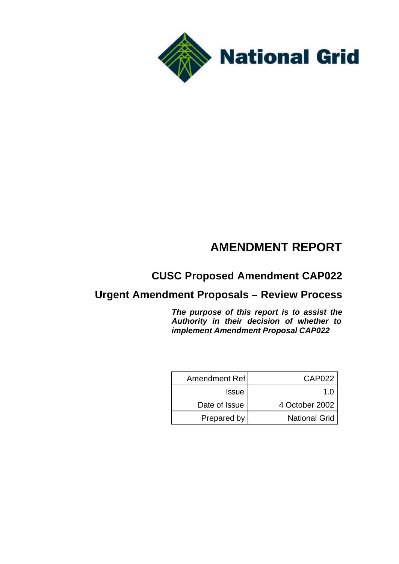

# **AMENDMENT REPORT**

# **CUSC Proposed Amendment CAP022**

# **Urgent Amendment Proposals – Review Process**

*The purpose of this report is to assist the Authority in their decision of whether to implement Amendment Proposal CAP022*

| Amendment Ref | CAP <sub>022</sub>   |
|---------------|----------------------|
| <b>Issue</b>  | 1 በ                  |
| Date of Issue | 4 October 2002       |
| Prepared by   | <b>National Grid</b> |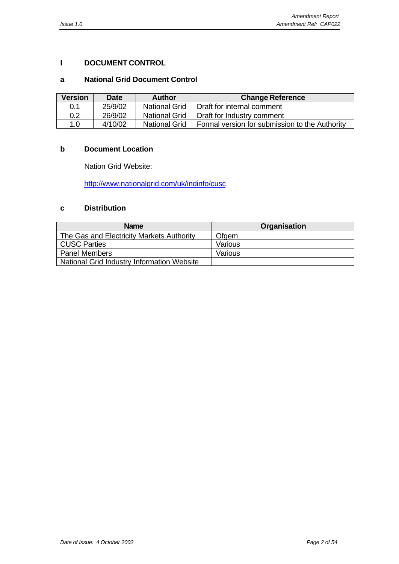# **I DOCUMENT CONTROL**

### **a National Grid Document Control**

| <b>Version</b> | <b>Date</b> | <b>Author</b>        | <b>Change Reference</b>                        |
|----------------|-------------|----------------------|------------------------------------------------|
| 0.1            | 25/9/02     | <b>National Grid</b> | Draft for internal comment                     |
| 0.2            | 26/9/02     | <b>National Grid</b> | Draft for Industry comment                     |
| 1.0            | 4/10/02     | <b>National Grid</b> | Formal version for submission to the Authority |

#### **b Document Location**

Nation Grid Website:

http://www.nationalgrid.com/uk/indinfo/cusc

### **c Distribution**

| <b>Name</b>                                | Organisation |
|--------------------------------------------|--------------|
| The Gas and Electricity Markets Authority  | Ofgem        |
| CUSC Parties                               | Various      |
| <b>Panel Members</b>                       | Various      |
| National Grid Industry Information Website |              |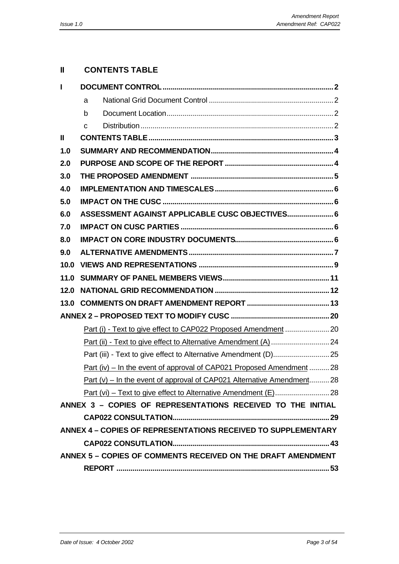# **II CONTENTS TABLE**

| L            |   |                                                                        |  |
|--------------|---|------------------------------------------------------------------------|--|
|              | a |                                                                        |  |
|              | b |                                                                        |  |
|              | C |                                                                        |  |
| $\mathbf{I}$ |   |                                                                        |  |
| 1.0          |   |                                                                        |  |
| 2.0          |   |                                                                        |  |
| 3.0          |   |                                                                        |  |
| 4.0          |   |                                                                        |  |
| 5.0          |   |                                                                        |  |
| 6.0          |   | ASSESSMENT AGAINST APPLICABLE CUSC OBJECTIVES 6                        |  |
| 7.0          |   |                                                                        |  |
| 8.0          |   |                                                                        |  |
| 9.0          |   |                                                                        |  |
| 10.0         |   |                                                                        |  |
|              |   |                                                                        |  |
| 12.0         |   |                                                                        |  |
|              |   |                                                                        |  |
|              |   |                                                                        |  |
|              |   | Part (i) - Text to give effect to CAP022 Proposed Amendment  20        |  |
|              |   |                                                                        |  |
|              |   | Part (iii) - Text to give effect to Alternative Amendment (D) 25       |  |
|              |   | Part (iv) – In the event of approval of CAP021 Proposed Amendment  28  |  |
|              |   | Part (v) – In the event of approval of CAP021 Alternative Amendment 28 |  |
|              |   |                                                                        |  |
|              |   | ANNEX 3 - COPIES OF REPRESENTATIONS RECEIVED TO THE INITIAL            |  |
|              |   |                                                                        |  |
|              |   | <b>ANNEX 4 - COPIES OF REPRESENTATIONS RECEIVED TO SUPPLEMENTARY</b>   |  |
|              |   |                                                                        |  |
|              |   | ANNEX 5 - COPIES OF COMMENTS RECEIVED ON THE DRAFT AMENDMENT           |  |
|              |   |                                                                        |  |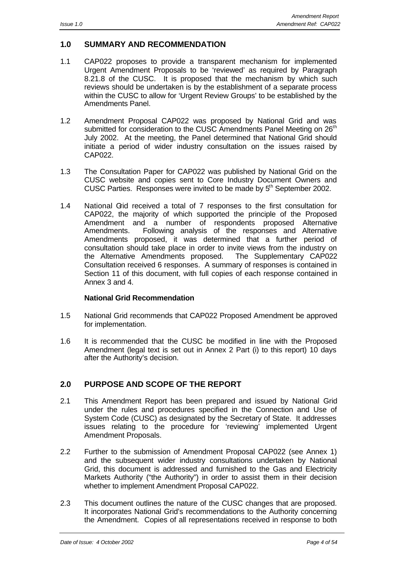# **1.0 SUMMARY AND RECOMMENDATION**

- 1.1 CAP022 proposes to provide a transparent mechanism for implemented Urgent Amendment Proposals to be 'reviewed' as required by Paragraph 8.21.8 of the CUSC. It is proposed that the mechanism by which such reviews should be undertaken is by the establishment of a separate process within the CUSC to allow for 'Urgent Review Groups' to be established by the Amendments Panel.
- 1.2 Amendment Proposal CAP022 was proposed by National Grid and was submitted for consideration to the CUSC Amendments Panel Meeting on 26<sup>th</sup> July 2002. At the meeting, the Panel determined that National Grid should initiate a period of wider industry consultation on the issues raised by CAP022.
- 1.3 The Consultation Paper for CAP022 was published by National Grid on the CUSC website and copies sent to Core Industry Document Owners and CUSC Parties. Responses were invited to be made by 5<sup>th</sup> September 2002.
- 1.4 National Grid received a total of 7 responses to the first consultation for CAP022, the majority of which supported the principle of the Proposed Amendment and a number of respondents proposed Alternative Amendments. Following analysis of the responses and Alternative Amendments proposed, it was determined that a further period of consultation should take place in order to invite views from the industry on the Alternative Amendments proposed. The Supplementary CAP022 Consultation received 6 responses. A summary of responses is contained in Section 11 of this document, with full copies of each response contained in Annex 3 and 4.

#### **National Grid Recommendation**

- 1.5 National Grid recommends that CAP022 Proposed Amendment be approved for implementation.
- 1.6 It is recommended that the CUSC be modified in line with the Proposed Amendment (legal text is set out in Annex 2 Part (i) to this report) 10 days after the Authority's decision.

# **2.0 PURPOSE AND SCOPE OF THE REPORT**

- 2.1 This Amendment Report has been prepared and issued by National Grid under the rules and procedures specified in the Connection and Use of System Code (CUSC) as designated by the Secretary of State. It addresses issues relating to the procedure for 'reviewing' implemented Urgent Amendment Proposals.
- 2.2 Further to the submission of Amendment Proposal CAP022 (see Annex 1) and the subsequent wider industry consultations undertaken by National Grid, this document is addressed and furnished to the Gas and Electricity Markets Authority ("the Authority") in order to assist them in their decision whether to implement Amendment Proposal CAP022.
- 2.3 This document outlines the nature of the CUSC changes that are proposed. It incorporates National Grid's recommendations to the Authority concerning the Amendment. Copies of all representations received in response to both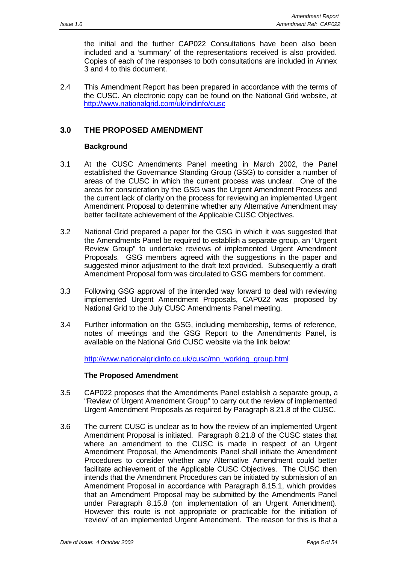the initial and the further CAP022 Consultations have been also been included and a 'summary' of the representations received is also provided. Copies of each of the responses to both consultations are included in Annex 3 and 4 to this document.

2.4 This Amendment Report has been prepared in accordance with the terms of the CUSC. An electronic copy can be found on the National Grid website, at http://www.nationalgrid.com/uk/indinfo/cusc

# **3.0 THE PROPOSED AMENDMENT**

### **Background**

- 3.1 At the CUSC Amendments Panel meeting in March 2002, the Panel established the Governance Standing Group (GSG) to consider a number of areas of the CUSC in which the current process was unclear. One of the areas for consideration by the GSG was the Urgent Amendment Process and the current lack of clarity on the process for reviewing an implemented Urgent Amendment Proposal to determine whether any Alternative Amendment may better facilitate achievement of the Applicable CUSC Objectives.
- 3.2 National Grid prepared a paper for the GSG in which it was suggested that the Amendments Panel be required to establish a separate group, an "Urgent Review Group" to undertake reviews of implemented Urgent Amendment Proposals. GSG members agreed with the suggestions in the paper and suggested minor adjustment to the draft text provided.Subsequently a draft Amendment Proposal form was circulated to GSG members for comment.
- 3.3 Following GSG approval of the intended way forward to deal with reviewing implemented Urgent Amendment Proposals, CAP022 was proposed by National Grid to the July CUSC Amendments Panel meeting.
- 3.4 Further information on the GSG, including membership, terms of reference, notes of meetings and the GSG Report to the Amendments Panel, is available on the National Grid CUSC website via the link below:

http://www.nationalgridinfo.co.uk/cusc/mn\_working\_group.html

#### **The Proposed Amendment**

- 3.5 CAP022 proposes that the Amendments Panel establish a separate group, a "Review of Urgent Amendment Group" to carry out the review of implemented Urgent Amendment Proposals as required by Paragraph 8.21.8 of the CUSC.
- 3.6 The current CUSC is unclear as to how the review of an implemented Urgent Amendment Proposal is initiated. Paragraph 8.21.8 of the CUSC states that where an amendment to the CUSC is made in respect of an Urgent Amendment Proposal, the Amendments Panel shall initiate the Amendment Procedures to consider whether any Alternative Amendment could better facilitate achievement of the Applicable CUSC Objectives. The CUSC then intends that the Amendment Procedures can be initiated by submission of an Amendment Proposal in accordance with Paragraph 8.15.1, which provides that an Amendment Proposal may be submitted by the Amendments Panel under Paragraph 8.15.8 (on implementation of an Urgent Amendment). However this route is not appropriate or practicable for the initiation of 'review' of an implemented Urgent Amendment. The reason for this is that a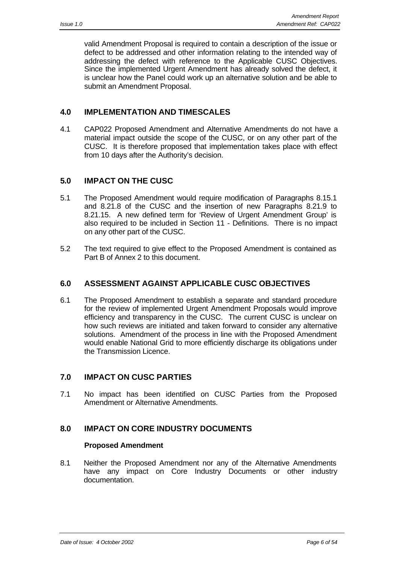valid Amendment Proposal is required to contain a description of the issue or defect to be addressed and other information relating to the intended way of addressing the defect with reference to the Applicable CUSC Objectives. Since the implemented Urgent Amendment has already solved the defect, it is unclear how the Panel could work up an alternative solution and be able to submit an Amendment Proposal.

# **4.0 IMPLEMENTATION AND TIMESCALES**

4.1 CAP022 Proposed Amendment and Alternative Amendments do not have a material impact outside the scope of the CUSC, or on any other part of the CUSC. It is therefore proposed that implementation takes place with effect from 10 days after the Authority's decision.

# **5.0 IMPACT ON THE CUSC**

- 5.1 The Proposed Amendment would require modification of Paragraphs 8.15.1 and 8.21.8 of the CUSC and the insertion of new Paragraphs 8.21.9 to 8.21.15. A new defined term for 'Review of Urgent Amendment Group' is also required to be included in Section 11 - Definitions. There is no impact on any other part of the CUSC.
- 5.2 The text required to give effect to the Proposed Amendment is contained as Part B of Annex 2 to this document.

# **6.0 ASSESSMENT AGAINST APPLICABLE CUSC OBJECTIVES**

6.1 The Proposed Amendment to establish a separate and standard procedure for the review of implemented Urgent Amendment Proposals would improve efficiency and transparency in the CUSC. The current CUSC is unclear on how such reviews are initiated and taken forward to consider any alternative solutions. Amendment of the process in line with the Proposed Amendment would enable National Grid to more efficiently discharge its obligations under the Transmission Licence.

# **7.0 IMPACT ON CUSC PARTIES**

7.1 No impact has been identified on CUSC Parties from the Proposed Amendment or Alternative Amendments.

# **8.0 IMPACT ON CORE INDUSTRY DOCUMENTS**

#### **Proposed Amendment**

8.1 Neither the Proposed Amendment nor any of the Alternative Amendments have any impact on Core Industry Documents or other industry documentation.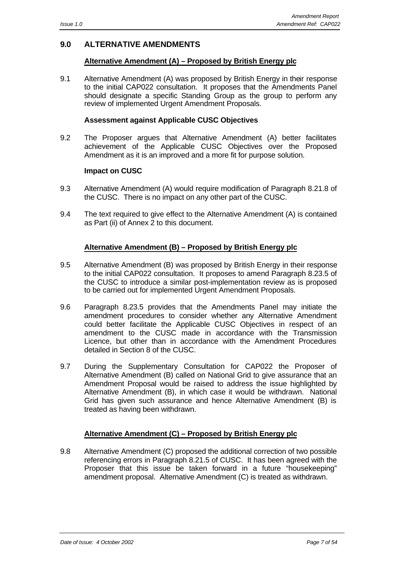# **9.0 ALTERNATIVE AMENDMENTS**

### **Alternative Amendment (A) – Proposed by British Energy plc**

9.1 Alternative Amendment (A) was proposed by British Energy in their response to the initial CAP022 consultation. It proposes that the Amendments Panel should designate a specific Standing Group as the group to perform any review of implemented Urgent Amendment Proposals.

#### **Assessment against Applicable CUSC Objectives**

9.2 The Proposer argues that Alternative Amendment (A) better facilitates achievement of the Applicable CUSC Objectives over the Proposed Amendment as it is an improved and a more fit for purpose solution.

#### **Impact on CUSC**

- 9.3 Alternative Amendment (A) would require modification of Paragraph 8.21.8 of the CUSC. There is no impact on any other part of the CUSC.
- 9.4 The text required to give effect to the Alternative Amendment (A) is contained as Part (ii) of Annex 2 to this document.

#### **Alternative Amendment (B) – Proposed by British Energy plc**

- 9.5 Alternative Amendment (B) was proposed by British Energy in their response to the initial CAP022 consultation. It proposes to amend Paragraph 8.23.5 of the CUSC to introduce a similar post-implementation review as is proposed to be carried out for implemented Urgent Amendment Proposals.
- 9.6 Paragraph 8.23.5 provides that the Amendments Panel may initiate the amendment procedures to consider whether any Alternative Amendment could better facilitate the Applicable CUSC Objectives in respect of an amendment to the CUSC made in accordance with the Transmission Licence, but other than in accordance with the Amendment Procedures detailed in Section 8 of the CUSC.
- 9.7 During the Supplementary Consultation for CAP022 the Proposer of Alternative Amendment (B) called on National Grid to give assurance that an Amendment Proposal would be raised to address the issue highlighted by Alternative Amendment (B), in which case it would be withdrawn. National Grid has given such assurance and hence Alternative Amendment (B) is treated as having been withdrawn.

#### **Alternative Amendment (C) – Proposed by British Energy plc**

9.8 Alternative Amendment (C) proposed the additional correction of two possible referencing errors in Paragraph 8.21.5 of CUSC. It has been agreed with the Proposer that this issue be taken forward in a future "housekeeping" amendment proposal. Alternative Amendment (C) is treated as withdrawn.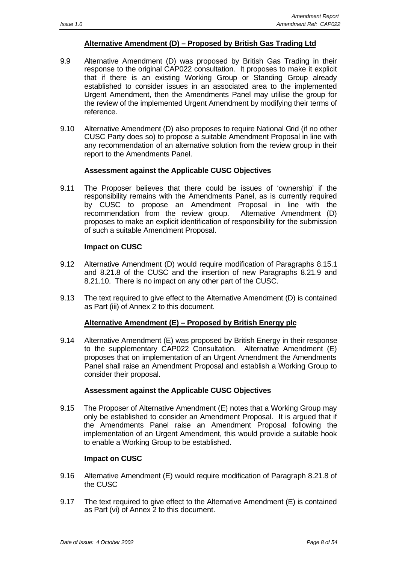### **Alternative Amendment (D) – Proposed by British Gas Trading Ltd**

- 9.9 Alternative Amendment (D) was proposed by British Gas Trading in their response to the original CAP022 consultation. It proposes to make it explicit that if there is an existing Working Group or Standing Group already established to consider issues in an associated area to the implemented Urgent Amendment, then the Amendments Panel may utilise the group for the review of the implemented Urgent Amendment by modifying their terms of reference.
- 9.10 Alternative Amendment (D) also proposes to require National Grid (if no other CUSC Party does so) to propose a suitable Amendment Proposal in line with any recommendation of an alternative solution from the review group in their report to the Amendments Panel.

#### **Assessment against the Applicable CUSC Objectives**

9.11 The Proposer believes that there could be issues of 'ownership' if the responsibility remains with the Amendments Panel, as is currently required by CUSC to propose an Amendment Proposal in line with the recommendation from the review group. Alternative Amendment (D) proposes to make an explicit identification of responsibility for the submission of such a suitable Amendment Proposal.

#### **Impact on CUSC**

- 9.12 Alternative Amendment (D) would require modification of Paragraphs 8.15.1 and 8.21.8 of the CUSC and the insertion of new Paragraphs 8.21.9 and 8.21.10. There is no impact on any other part of the CUSC.
- 9.13 The text required to give effect to the Alternative Amendment (D) is contained as Part (iii) of Annex 2 to this document.

#### **Alternative Amendment (E) – Proposed by British Energy plc**

9.14 Alternative Amendment (E) was proposed by British Energy in their response to the supplementary CAP022 Consultation. Alternative Amendment (E) proposes that on implementation of an Urgent Amendment the Amendments Panel shall raise an Amendment Proposal and establish a Working Group to consider their proposal.

#### **Assessment against the Applicable CUSC Objectives**

9.15 The Proposer of Alternative Amendment (E) notes that a Working Group may only be established to consider an Amendment Proposal. It is argued that if the Amendments Panel raise an Amendment Proposal following the implementation of an Urgent Amendment, this would provide a suitable hook to enable a Working Group to be established.

#### **Impact on CUSC**

- 9.16 Alternative Amendment (E) would require modification of Paragraph 8.21.8 of the CUSC
- 9.17 The text required to give effect to the Alternative Amendment (E) is contained as Part (vi) of Annex 2 to this document.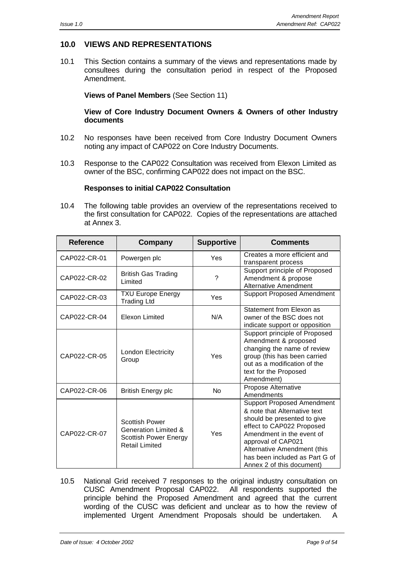# **10.0 VIEWS AND REPRESENTATIONS**

10.1 This Section contains a summary of the views and representations made by consultees during the consultation period in respect of the Proposed Amendment.

#### **Views of Panel Members** (See Section 11)

#### **View of Core Industry Document Owners & Owners of other Industry documents**

- 10.2 No responses have been received from Core Industry Document Owners noting any impact of CAP022 on Core Industry Documents.
- 10.3 Response to the CAP022 Consultation was received from Elexon Limited as owner of the BSC, confirming CAP022 does not impact on the BSC.

#### **Responses to initial CAP022 Consultation**

10.4 The following table provides an overview of the representations received to the first consultation for CAP022. Copies of the representations are attached at Annex 3.

| <b>Reference</b> | Company                                                                                                           | <b>Supportive</b> | <b>Comments</b>                                                                                                                                                                                                                                                                |
|------------------|-------------------------------------------------------------------------------------------------------------------|-------------------|--------------------------------------------------------------------------------------------------------------------------------------------------------------------------------------------------------------------------------------------------------------------------------|
| CAP022-CR-01     | Powergen plc                                                                                                      | Yes               | Creates a more efficient and<br>transparent process                                                                                                                                                                                                                            |
| CAP022-CR-02     | <b>British Gas Trading</b><br>Limited                                                                             | ?                 | Support principle of Proposed<br>Amendment & propose<br><b>Alternative Amendment</b>                                                                                                                                                                                           |
| CAP022-CR-03     | <b>TXU Europe Energy</b><br><b>Trading Ltd</b>                                                                    | Yes               | <b>Support Proposed Amendment</b>                                                                                                                                                                                                                                              |
| CAP022-CR-04     | <b>Elexon Limited</b>                                                                                             | N/A               | Statement from Elexon as<br>owner of the BSC does not<br>indicate support or opposition                                                                                                                                                                                        |
| CAP022-CR-05     | London Electricity<br>Group                                                                                       | Yes               | Support principle of Proposed<br>Amendment & proposed<br>changing the name of review<br>group (this has been carried<br>out as a modification of the<br>text for the Proposed<br>Amendment)                                                                                    |
| CAP022-CR-06     | <b>British Energy plc</b>                                                                                         | <b>No</b>         | Propose Alternative<br>Amendments                                                                                                                                                                                                                                              |
| CAP022-CR-07     | <b>Scottish Power</b><br><b>Generation Limited &amp;</b><br><b>Scottish Power Energy</b><br><b>Retail Limited</b> | Yes               | <b>Support Proposed Amendment</b><br>& note that Alternative text<br>should be presented to give<br>effect to CAP022 Proposed<br>Amendment in the event of<br>approval of CAP021<br>Alternative Amendment (this<br>has been included as Part G of<br>Annex 2 of this document) |

10.5 National Grid received 7 responses to the original industry consultation on CUSC Amendment Proposal CAP022. All respondents supported the principle behind the Proposed Amendment and agreed that the current wording of the CUSC was deficient and unclear as to how the review of implemented Urgent Amendment Proposals should be undertaken. A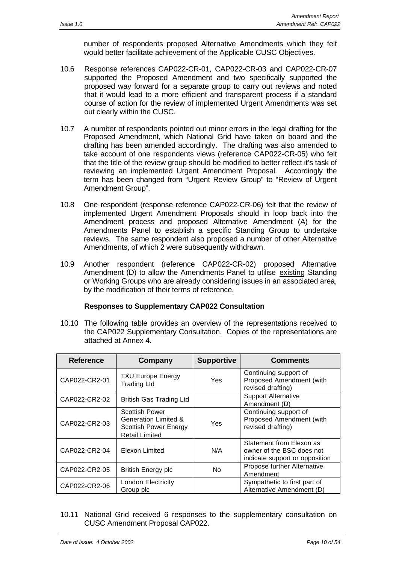number of respondents proposed Alternative Amendments which they felt would better facilitate achievement of the Applicable CUSC Objectives.

- 10.6 Response references CAP022-CR-01, CAP022-CR-03 and CAP022-CR-07 supported the Proposed Amendment and two specifically supported the proposed way forward for a separate group to carry out reviews and noted that it would lead to a more efficient and transparent process if a standard course of action for the review of implemented Urgent Amendments was set out clearly within the CUSC.
- 10.7 A number of respondents pointed out minor errors in the legal drafting for the Proposed Amendment, which National Grid have taken on board and the drafting has been amended accordingly. The drafting was also amended to take account of one respondents views (reference CAP022-CR-05) who felt that the title of the review group should be modified to better reflect it's task of reviewing an implemented Urgent Amendment Proposal. Accordingly the term has been changed from "Urgent Review Group" to "Review of Urgent Amendment Group".
- 10.8 One respondent (response reference CAP022-CR-06) felt that the review of implemented Urgent Amendment Proposals should in loop back into the Amendment process and proposed Alternative Amendment (A) for the Amendments Panel to establish a specific Standing Group to undertake reviews. The same respondent also proposed a number of other Alternative Amendments, of which 2 were subsequently withdrawn.
- 10.9 Another respondent (reference CAP022-CR-02) proposed Alternative Amendment (D) to allow the Amendments Panel to utilise existing Standing or Working Groups who are already considering issues in an associated area, by the modification of their terms of reference.

#### **Responses to Supplementary CAP022 Consultation**

10.10 The following table provides an overview of the representations received to the CAP022 Supplementary Consultation. Copies of the representations are attached at Annex 4.

| <b>Reference</b> | Company                                                                                                | <b>Supportive</b> | <b>Comments</b>                                                                         |
|------------------|--------------------------------------------------------------------------------------------------------|-------------------|-----------------------------------------------------------------------------------------|
| CAP022-CR2-01    | <b>TXU Europe Energy</b><br><b>Trading Ltd</b>                                                         | Yes               | Continuing support of<br>Proposed Amendment (with<br>revised drafting)                  |
| CAP022-CR2-02    | <b>British Gas Trading Ltd</b>                                                                         |                   | <b>Support Alternative</b><br>Amendment (D)                                             |
| CAP022-CR2-03    | <b>Scottish Power</b><br>Generation Limited &<br><b>Scottish Power Energy</b><br><b>Retail Limited</b> | Yes               | Continuing support of<br>Proposed Amendment (with<br>revised drafting)                  |
| CAP022-CR2-04    | Elexon Limited                                                                                         | N/A               | Statement from Elexon as<br>owner of the BSC does not<br>indicate support or opposition |
| CAP022-CR2-05    | <b>British Energy plc</b>                                                                              | No.               | Propose further Alternative<br>Amendment                                                |
| CAP022-CR2-06    | London Electricity<br>Group plc                                                                        |                   | Sympathetic to first part of<br>Alternative Amendment (D)                               |

10.11 National Grid received 6 responses to the supplementary consultation on CUSC Amendment Proposal CAP022.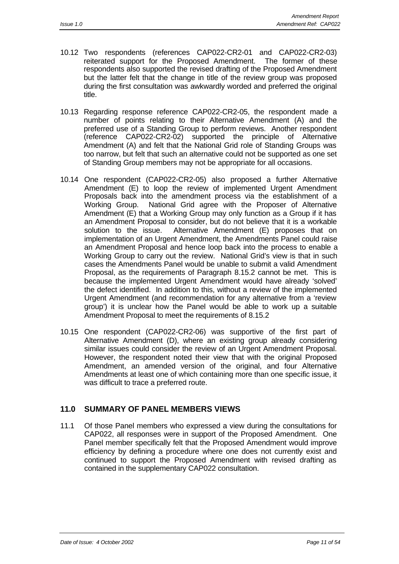- 10.12 Two respondents (references CAP022-CR2-01 and CAP022-CR2-03) reiterated support for the Proposed Amendment. The former of these respondents also supported the revised drafting of the Proposed Amendment but the latter felt that the change in title of the review group was proposed during the first consultation was awkwardly worded and preferred the original title.
- 10.13 Regarding response reference CAP022-CR2-05, the respondent made a number of points relating to their Alternative Amendment (A) and the preferred use of a Standing Group to perform reviews. Another respondent (reference CAP022-CR2-02) supported the principle of Alternative Amendment (A) and felt that the National Grid role of Standing Groups was too narrow, but felt that such an alternative could not be supported as one set of Standing Group members may not be appropriate for all occasions.
- 10.14 One respondent (CAP022-CR2-05) also proposed a further Alternative Amendment (E) to loop the review of implemented Urgent Amendment Proposals back into the amendment process via the establishment of a Working Group. National Grid agree with the Proposer of Alternative Amendment (E) that a Working Group may only function as a Group if it has an Amendment Proposal to consider, but do not believe that it is a workable solution to the issue. Alternative Amendment (E) proposes that on implementation of an Urgent Amendment, the Amendments Panel could raise an Amendment Proposal and hence loop back into the process to enable a Working Group to carry out the review. National Grid's view is that in such cases the Amendments Panel would be unable to submit a valid Amendment Proposal, as the requirements of Paragraph 8.15.2 cannot be met. This is because the implemented Urgent Amendment would have already 'solved' the defect identified. In addition to this, without a review of the implemented Urgent Amendment (and recommendation for any alternative from a 'review group') it is unclear how the Panel would be able to work up a suitable Amendment Proposal to meet the requirements of 8.15.2
- 10.15 One respondent (CAP022-CR2-06) was supportive of the first part of Alternative Amendment (D), where an existing group already considering similar issues could consider the review of an Urgent Amendment Proposal. However, the respondent noted their view that with the original Proposed Amendment, an amended version of the original, and four Alternative Amendments at least one of which containing more than one specific issue, it was difficult to trace a preferred route.

# **11.0 SUMMARY OF PANEL MEMBERS VIEWS**

11.1 Of those Panel members who expressed a view during the consultations for CAP022, all responses were in support of the Proposed Amendment. One Panel member specifically felt that the Proposed Amendment would improve efficiency by defining a procedure where one does not currently exist and continued to support the Proposed Amendment with revised drafting as contained in the supplementary CAP022 consultation.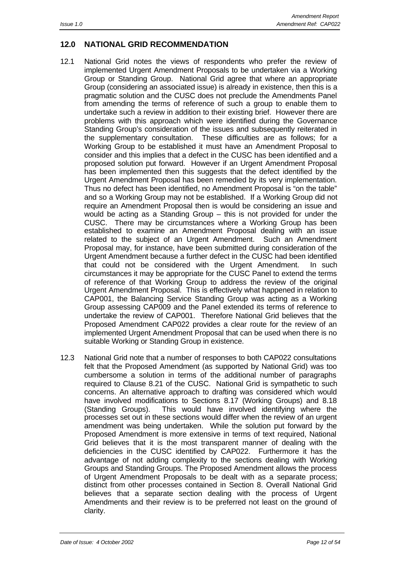# **12.0 NATIONAL GRID RECOMMENDATION**

- 12.1 National Grid notes the views of respondents who prefer the review of implemented Urgent Amendment Proposals to be undertaken via a Working Group or Standing Group. National Grid agree that where an appropriate Group (considering an associated issue) is already in existence, then this is a pragmatic solution and the CUSC does not preclude the Amendments Panel from amending the terms of reference of such a group to enable them to undertake such a review in addition to their existing brief. However there are problems with this approach which were identified during the Governance Standing Group's consideration of the issues and subsequently reiterated in the supplementary consultation. These difficulties are as follows; for a Working Group to be established it must have an Amendment Proposal to consider and this implies that a defect in the CUSC has been identified and a proposed solution put forward. However if an Urgent Amendment Proposal has been implemented then this suggests that the defect identified by the Urgent Amendment Proposal has been remedied by its very implementation. Thus no defect has been identified, no Amendment Proposal is "on the table" and so a Working Group may not be established. If a Working Group did not require an Amendment Proposal then is would be considering an issue and would be acting as a Standing Group – this is not provided for under the CUSC. There may be circumstances where a Working Group has been established to examine an Amendment Proposal dealing with an issue related to the subject of an Urgent Amendment. Such an Amendment Proposal may, for instance, have been submitted during consideration of the Urgent Amendment because a further defect in the CUSC had been identified that could not be considered with the Urgent Amendment. In such circumstances it may be appropriate for the CUSC Panel to extend the terms of reference of that Working Group to address the review of the original Urgent Amendment Proposal. This is effectively what happened in relation to CAP001, the Balancing Service Standing Group was acting as a Working Group assessing CAP009 and the Panel extended its terms of reference to undertake the review of CAP001. Therefore National Grid believes that the Proposed Amendment CAP022 provides a clear route for the review of an implemented Urgent Amendment Proposal that can be used when there is no suitable Working or Standing Group in existence.
- 12.3 National Grid note that a number of responses to both CAP022 consultations felt that the Proposed Amendment (as supported by National Grid) was too cumbersome a solution in terms of the additional number of paragraphs required to Clause 8.21 of the CUSC. National Grid is sympathetic to such concerns. An alternative approach to drafting was considered which would have involved modifications to Sections 8.17 (Working Groups) and 8.18 (Standing Groups). This would have involved identifying where the processes set out in these sections would differ when the review of an urgent amendment was being undertaken. While the solution put forward by the Proposed Amendment is more extensive in terms of text required, National Grid believes that it is the most transparent manner of dealing with the deficiencies in the CUSC identified by CAP022. Furthermore it has the advantage of not adding complexity to the sections dealing with Working Groups and Standing Groups. The Proposed Amendment allows the process of Urgent Amendment Proposals to be dealt with as a separate process; distinct from other processes contained in Section 8. Overall National Grid believes that a separate section dealing with the process of Urgent Amendments and their review is to be preferred not least on the ground of clarity.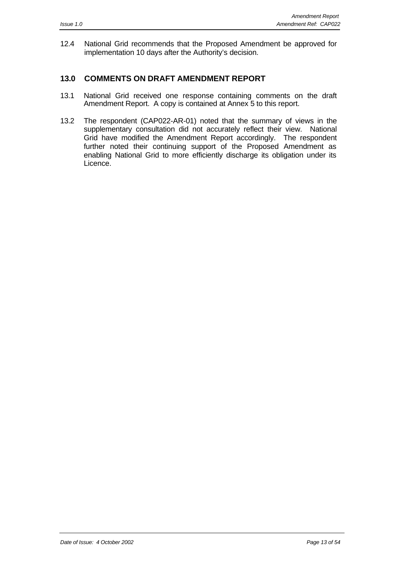12.4 National Grid recommends that the Proposed Amendment be approved for implementation 10 days after the Authority's decision.

# **13.0 COMMENTS ON DRAFT AMENDMENT REPORT**

- 13.1 National Grid received one response containing comments on the draft Amendment Report. A copy is contained at Annex 5 to this report.
- 13.2 The respondent (CAP022-AR-01) noted that the summary of views in the supplementary consultation did not accurately reflect their view. National Grid have modified the Amendment Report accordingly. The respondent further noted their continuing support of the Proposed Amendment as enabling National Grid to more efficiently discharge its obligation under its Licence.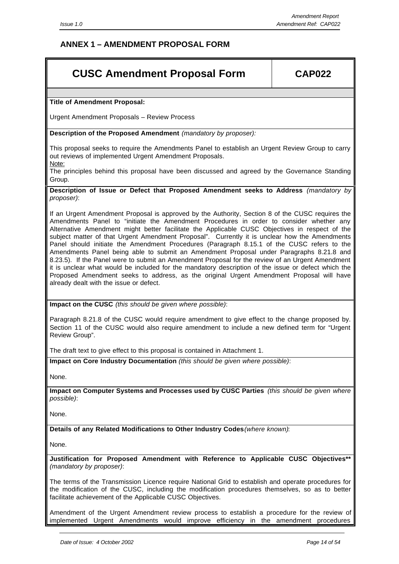# **ANNEX 1 – AMENDMENT PROPOSAL FORM**

# **CUSC Amendment Proposal Form CAP022**

**Title of Amendment Proposal:**

Urgent Amendment Proposals – Review Process

**Description of the Proposed Amendment** *(mandatory by proposer):*

This proposal seeks to require the Amendments Panel to establish an Urgent Review Group to carry out reviews of implemented Urgent Amendment Proposals. Note:

The principles behind this proposal have been discussed and agreed by the Governance Standing Group.

**Description of Issue or Defect that Proposed Amendment seeks to Address** *(mandatory by proposer)*:

If an Urgent Amendment Proposal is approved by the Authority, Section 8 of the CUSC requires the Amendments Panel to "initiate the Amendment Procedures in order to consider whether any Alternative Amendment might better facilitate the Applicable CUSC Objectives in respect of the subject matter of that Urgent Amendment Proposal". Currently it is unclear how the Amendments Panel should initiate the Amendment Procedures (Paragraph 8.15.1 of the CUSC refers to the Amendments Panel being able to submit an Amendment Proposal under Paragraphs 8.21.8 and 8.23.5). If the Panel were to submit an Amendment Proposal for the review of an Urgent Amendment it is unclear what would be included for the mandatory description of the issue or defect which the Proposed Amendment seeks to address, as the original Urgent Amendment Proposal will have already dealt with the issue or defect.

**Impact on the CUSC** *(this should be given where possible)*:

Paragraph 8.21.8 of the CUSC would require amendment to give effect to the change proposed by. Section 11 of the CUSC would also require amendment to include a new defined term for "Urgent Review Group".

The draft text to give effect to this proposal is contained in Attachment 1.

**Impact on Core Industry Documentation** *(this should be given where possible)*:

None.

**Impact on Computer Systems and Processes used by CUSC Parties** *(this should be given where possible)*:

None.

**Details of any Related Modifications to Other Industry Codes***(where known)*:

None.

**Justification for Proposed Amendment with Reference to Applicable CUSC Objectives\*\*** *(mandatory by proposer)*:

The terms of the Transmission Licence require National Grid to establish and operate procedures for the modification of the CUSC, including the modification procedures themselves, so as to better facilitate achievement of the Applicable CUSC Objectives.

Amendment of the Urgent Amendment review process to establish a procedure for the review of implemented Urgent Amendments would improve efficiency in the amendment procedures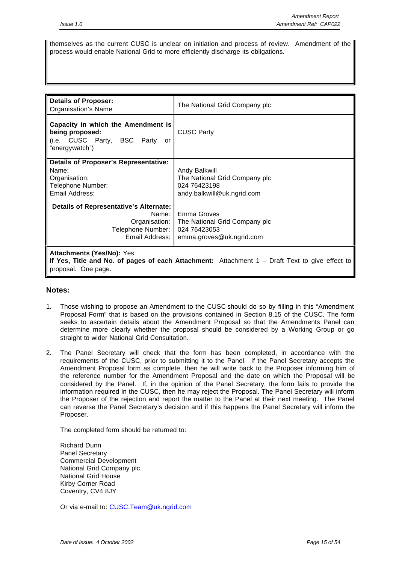themselves as the current CUSC is unclear on initiation and process of review. Amendment of the process would enable National Grid to more efficiently discharge its obligations.

| <b>Details of Proposer:</b><br><b>Organisation's Name</b>                                                        | The National Grid Company plc                                                                    |
|------------------------------------------------------------------------------------------------------------------|--------------------------------------------------------------------------------------------------|
| Capacity in which the Amendment is<br>being proposed:<br>(i.e. CUSC Party, BSC Party<br>or<br>"energywatch")     | <b>CUSC Party</b>                                                                                |
| <b>Details of Proposer's Representative:</b><br>Name:<br>Organisation:<br>Telephone Number:<br>Email Address:    | Andy Balkwill<br>The National Grid Company plc<br>024 76423198<br>andy.balkwill@uk.ngrid.com     |
| <b>Details of Representative's Alternate:</b><br>Name:<br>Organisation:<br>Telephone Number:<br>Email Address: I | Emma Groves<br>The National Grid Company plc<br>024 76423053<br>emma.groves@uk.ngrid.com         |
| <b>Attachments (Yes/No): Yes</b><br>proposal. One page.                                                          | If Yes, Title and No. of pages of each Attachment: Attachment $1 -$ Draft Text to give effect to |

#### **Notes:**

- 1. Those wishing to propose an Amendment to the CUSC should do so by filling in this "Amendment Proposal Form" that is based on the provisions contained in Section 8.15 of the CUSC. The form seeks to ascertain details about the Amendment Proposal so that the Amendments Panel can determine more clearly whether the proposal should be considered by a Working Group or go straight to wider National Grid Consultation.
- 2. The Panel Secretary will check that the form has been completed, in accordance with the requirements of the CUSC, prior to submitting it to the Panel. If the Panel Secretary accepts the Amendment Proposal form as complete, then he will write back to the Proposer informing him of the reference number for the Amendment Proposal and the date on which the Proposal will be considered by the Panel. If, in the opinion of the Panel Secretary, the form fails to provide the information required in the CUSC, then he may reject the Proposal. The Panel Secretary will inform the Proposer of the rejection and report the matter to the Panel at their next meeting. The Panel can reverse the Panel Secretary's decision and if this happens the Panel Secretary will inform the Proposer.

The completed form should be returned to:

Richard Dunn Panel Secretary Commercial Development National Grid Company plc National Grid House Kirby Corner Road Coventry, CV4 8JY

Or via e-mail to: CUSC.Team@uk.ngrid.com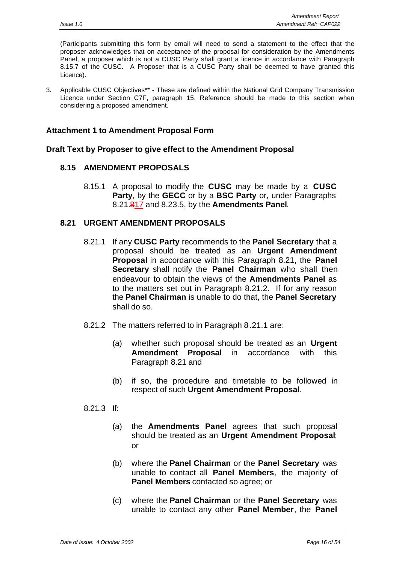(Participants submitting this form by email will need to send a statement to the effect that the proposer acknowledges that on acceptance of the proposal for consideration by the Amendments Panel, a proposer which is not a CUSC Party shall grant a licence in accordance with Paragraph 8.15.7 of the CUSC. A Proposer that is a CUSC Party shall be deemed to have granted this Licence).

3. Applicable CUSC Objectives\*\* - These are defined within the National Grid Company Transmission Licence under Section C7F, paragraph 15. Reference should be made to this section when considering a proposed amendment.

### **Attachment 1 to Amendment Proposal Form**

#### **Draft Text by Proposer to give effect to the Amendment Proposal**

### **8.15 AMENDMENT PROPOSALS**

8.15.1 A proposal to modify the **CUSC** may be made by a **CUSC Party**, by the **GECC** or by a **BSC Party** or, under Paragraphs 8.21.817 and 8.23.5, by the **Amendments Panel**.

### **8.21 URGENT AMENDMENT PROPOSALS**

- 8.21.1 If any **CUSC Party** recommends to the **Panel Secretary** that a proposal should be treated as an **Urgent Amendment Proposal** in accordance with this Paragraph 8.21, the **Panel Secretary** shall notify the **Panel Chairman** who shall then endeavour to obtain the views of the **Amendments Panel** as to the matters set out in Paragraph 8.21.2. If for any reason the **Panel Chairman** is unable to do that, the **Panel Secretary** shall do so.
- 8.21.2 The matters referred to in Paragraph 8.21.1 are:
	- (a) whether such proposal should be treated as an **Urgent Amendment Proposal** in accordance with this Paragraph 8.21 and
	- (b) if so, the procedure and timetable to be followed in respect of such **Urgent Amendment Proposal**.

#### 8.21.3 If:

- (a) the **Amendments Panel** agrees that such proposal should be treated as an **Urgent Amendment Proposal**; or
- (b) where the **Panel Chairman** or the **Panel Secretary** was unable to contact all **Panel Members**, the majority of **Panel Members** contacted so agree; or
- (c) where the **Panel Chairman** or the **Panel Secretary** was unable to contact any other **Panel Member**, the **Panel**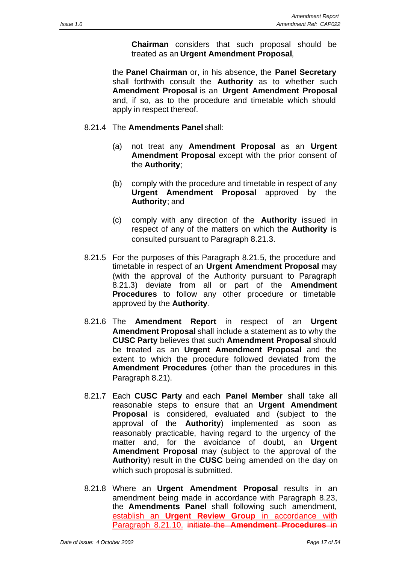**Chairman** considers that such proposal should be treated as an **Urgent Amendment Proposal**,

the **Panel Chairman** or, in his absence, the **Panel Secretary** shall forthwith consult the **Authority** as to whether such **Amendment Proposal** is an **Urgent Amendment Proposal** and, if so, as to the procedure and timetable which should apply in respect thereof.

- 8.21.4 The **Amendments Panel** shall:
	- (a) not treat any **Amendment Proposal** as an **Urgent Amendment Proposal** except with the prior consent of the **Authority**;
	- (b) comply with the procedure and timetable in respect of any **Urgent Amendment Proposal** approved by the **Authority**; and
	- (c) comply with any direction of the **Authority** issued in respect of any of the matters on which the **Authority** is consulted pursuant to Paragraph 8.21.3.
- 8.21.5 For the purposes of this Paragraph 8.21.5, the procedure and timetable in respect of an **Urgent Amendment Proposal** may (with the approval of the Authority pursuant to Paragraph 8.21.3) deviate from all or part of the **Amendment Procedures** to follow any other procedure or timetable approved by the **Authority**.
- 8.21.6 The **Amendment Report** in respect of an **Urgent Amendment Proposal** shall include a statement as to why the **CUSC Party** believes that such **Amendment Proposal** should be treated as an **Urgent Amendment Proposal** and the extent to which the procedure followed deviated from the **Amendment Procedures** (other than the procedures in this Paragraph 8.21).
- 8.21.7 Each **CUSC Party** and each **Panel Member** shall take all reasonable steps to ensure that an **Urgent Amendment Proposal** is considered, evaluated and (subject to the approval of the **Authority**) implemented as soon as reasonably practicable, having regard to the urgency of the matter and, for the avoidance of doubt, an **Urgent Amendment Proposal** may (subject to the approval of the **Authority**) result in the **CUSC** being amended on the day on which such proposal is submitted.
- 8.21.8 Where an **Urgent Amendment Proposal** results in an amendment being made in accordance with Paragraph 8.23, the **Amendments Panel** shall following such amendment, establish an **Urgent Review Group** in accordance with Paragraph 8.21.10. initiate the **Amendment Procedures** in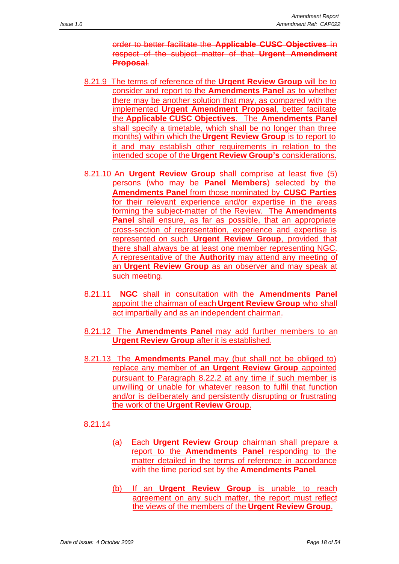order to better facilitate the **Applicable CUSC Objectives** in respect of the subject matter of that **Urgent Amendment Proposal**.

- 8.21.9 The terms of reference of the **Urgent Review Group** will be to consider and report to the **Amendments Panel** as to whether there may be another solution that may, as compared with the implemented **Urgent Amendment Proposal**, better facilitate the **Applicable CUSC Objectives**. The **Amendments Panel** shall specify a timetable, which shall be no longer than three months) within which the **Urgent Review Group** is to report to it and may establish other requirements in relation to the intended scope of the **Urgent Review Group's** considerations.
- 8.21.10 An **Urgent Review Group** shall comprise at least five (5) persons (who may be **Panel Members**) selected by the **Amendments Panel** from those nominated by **CUSC Parties** for their relevant experience and/or expertise in the areas forming the subject-matter of the Review. The **Amendments Panel** shall ensure, as far as possible, that an appropriate cross-section of representation, experience and expertise is represented on such **Urgent Review Group**, provided that there shall always be at least one member representing NGC. A representative of the **Authority** may attend any meeting of an **Urgent Review Group** as an observer and may speak at such meeting.
- 8.21.11 **NGC** shall in consultation with the **Amendments Panel** appoint the chairman of each **Urgent Review Group** who shall act impartially and as an independent chairman.
- 8.21.12 The **Amendments Panel** may add further members to an **Urgent Review Group** after it is established.
- 8.21.13 The **Amendments Panel** may (but shall not be obliged to) replace any member of **an Urgent Review Group** appointed pursuant to Paragraph 8.22.2 at any time if such member is unwilling or unable for whatever reason to fulfil that function and/or is deliberately and persistently disrupting or frustrating the work of the **Urgent Review Group**.

# 8.21.14

- (a) Each **Urgent Review Group** chairman shall prepare a report to the **Amendments Panel** responding to the matter detailed in the terms of reference in accordance with the time period set by the **Amendments Panel**.
- (b) If an **Urgent Review Group** is unable to reach agreement on any such matter, the report must reflect the views of the members of the **Urgent Review Group**.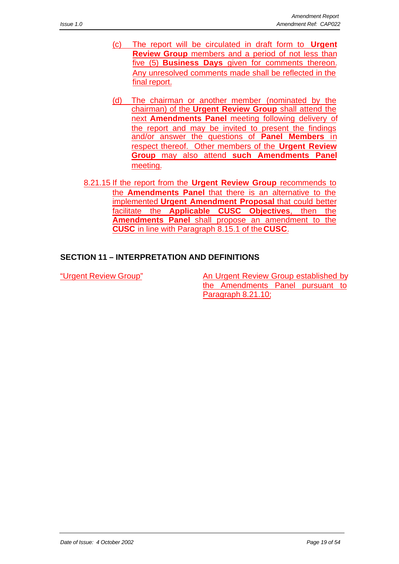- (c) The report will be circulated in draft form to **Urgent Review Group** members and a period of not less than five (5) **Business Days** given for comments thereon. Any unresolved comments made shall be reflected in the final report.
- (d) The chairman or another member (nominated by the chairman) of the **Urgent Review Group** shall attend the next **Amendments Panel** meeting following delivery of the report and may be invited to present the findings and/or answer the questions of **Panel Members** in respect thereof. Other members of the **Urgent Review Group** may also attend **such Amendments Panel** meeting.
- 8.21.15 If the report from the **Urgent Review Group** recommends to the **Amendments Panel** that there is an alternative to the implemented **Urgent Amendment Proposal** that could better facilitate the **Applicable CUSC Objectives**, then the **Amendments Panel** shall propose an amendment to the **CUSC** in line with Paragraph 8.15.1 of the **CUSC**.

# **SECTION 11 – INTERPRETATION AND DEFINITIONS**

"Urgent Review Group" An Urgent Review Group established by the Amendments Panel pursuant to Paragraph 8.21.10;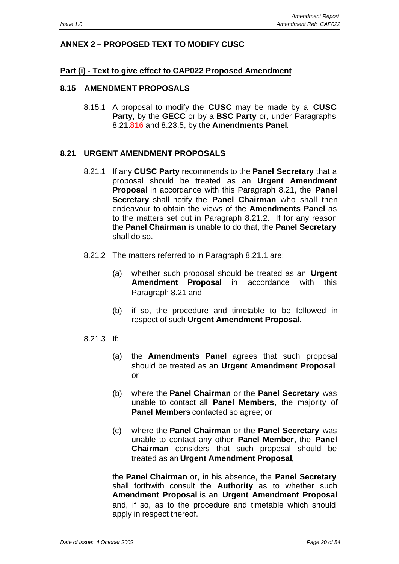# **ANNEX 2 – PROPOSED TEXT TO MODIFY CUSC**

#### **Part (i) - Text to give effect to CAP022 Proposed Amendment**

#### **8.15 AMENDMENT PROPOSALS**

8.15.1 A proposal to modify the **CUSC** may be made by a **CUSC Party**, by the **GECC** or by a **BSC Party** or, under Paragraphs 8.21.816 and 8.23.5, by the **Amendments Panel**.

# **8.21 URGENT AMENDMENT PROPOSALS**

- 8.21.1 If any **CUSC Party** recommends to the **Panel Secretary** that a proposal should be treated as an **Urgent Amendment Proposal** in accordance with this Paragraph 8.21, the **Panel Secretary** shall notify the **Panel Chairman** who shall then endeavour to obtain the views of the **Amendments Panel** as to the matters set out in Paragraph 8.21.2. If for any reason the **Panel Chairman** is unable to do that, the **Panel Secretary** shall do so.
- 8.21.2 The matters referred to in Paragraph 8.21.1 are:
	- (a) whether such proposal should be treated as an **Urgent Amendment Proposal** in accordance with this Paragraph 8.21 and
	- (b) if so, the procedure and timetable to be followed in respect of such **Urgent Amendment Proposal**.
- 8.21.3 If:
	- (a) the **Amendments Panel** agrees that such proposal should be treated as an **Urgent Amendment Proposal**; or
	- (b) where the **Panel Chairman** or the **Panel Secretary** was unable to contact all **Panel Members**, the majority of **Panel Members** contacted so agree; or
	- (c) where the **Panel Chairman** or the **Panel Secretary** was unable to contact any other **Panel Member**, the **Panel Chairman** considers that such proposal should be treated as an **Urgent Amendment Proposal**,

the **Panel Chairman** or, in his absence, the **Panel Secretary** shall forthwith consult the **Authority** as to whether such **Amendment Proposal** is an **Urgent Amendment Proposal** and, if so, as to the procedure and timetable which should apply in respect thereof.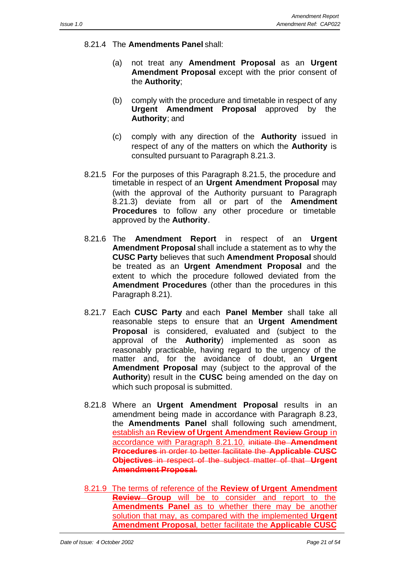- 8.21.4 The **Amendments Panel** shall:
	- (a) not treat any **Amendment Proposal** as an **Urgent Amendment Proposal** except with the prior consent of the **Authority**;
	- (b) comply with the procedure and timetable in respect of any **Urgent Amendment Proposal** approved by the **Authority**; and
	- (c) comply with any direction of the **Authority** issued in respect of any of the matters on which the **Authority** is consulted pursuant to Paragraph 8.21.3.
- 8.21.5 For the purposes of this Paragraph 8.21.5, the procedure and timetable in respect of an **Urgent Amendment Proposal** may (with the approval of the Authority pursuant to Paragraph 8.21.3) deviate from all or part of the **Amendment Procedures** to follow any other procedure or timetable approved by the **Authority**.
- 8.21.6 The **Amendment Report** in respect of an **Urgent Amendment Proposal** shall include a statement as to why the **CUSC Party** believes that such **Amendment Proposal** should be treated as an **Urgent Amendment Proposal** and the extent to which the procedure followed deviated from the **Amendment Procedures** (other than the procedures in this Paragraph 8.21).
- 8.21.7 Each **CUSC Party** and each **Panel Member** shall take all reasonable steps to ensure that an **Urgent Amendment Proposal** is considered, evaluated and (subject to the approval of the **Authority**) implemented as soon as reasonably practicable, having regard to the urgency of the matter and, for the avoidance of doubt, an **Urgent Amendment Proposal** may (subject to the approval of the **Authority**) result in the **CUSC** being amended on the day on which such proposal is submitted.
- 8.21.8 Where an **Urgent Amendment Proposal** results in an amendment being made in accordance with Paragraph 8.23, the **Amendments Panel** shall following such amendment, establish an **Review of Urgent Amendment Review Group** in accordance with Paragraph 8.21.10. initiate the **Amendment Procedures** in order to better facilitate the **Applicable CUSC Objectives** in respect of the subject matter of that **Urgent Amendment Proposal**.
- 8.21.9 The terms of reference of the **Review of Urgent Amendment Review Group** will be to consider and report to the **Amendments Panel** as to whether there may be another solution that may, as compared with the implemented **Urgent Amendment Proposal**, better facilitate the **Applicable CUSC**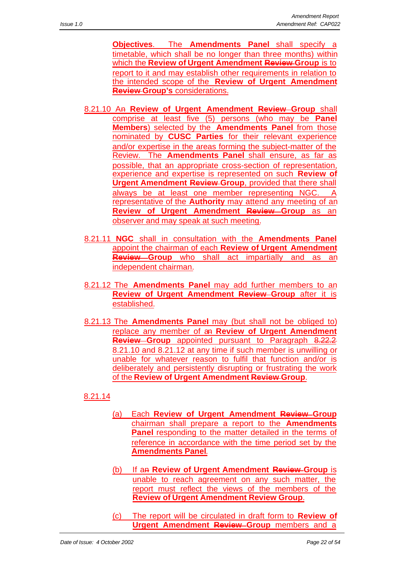**Objectives**. The **Amendments Panel** shall specify a timetable, which shall be no longer than three months) within which the **Review of Urgent Amendment Review Group** is to report to it and may establish other requirements in relation to the intended scope of the **Review of Urgent Amendment Review Group's** considerations.

- 8.21.10 An **Review of Urgent Amendment Review Group** shall comprise at least five (5) persons (who may be **Panel Members**) selected by the **Amendments Panel** from those nominated by **CUSC Parties** for their relevant experience and/or expertise in the areas forming the subject-matter of the Review. The **Amendments Panel** shall ensure, as far as possible, that an appropriate cross-section of representation, experience and expertise is represented on such **Review of Urgent Amendment Review Group**, provided that there shall always be at least one member representing NGC. A representative of the **Authority** may attend any meeting of an **Review of Urgent Amendment Review Group** as an observer and may speak at such meeting.
- 8.21.11 **NGC** shall in consultation with the **Amendments Panel** appoint the chairman of each **Review of Urgent Amendment Review Group** who shall act impartially and as an independent chairman.
- 8.21.12 The **Amendments Panel** may add further members to an **Review of Urgent Amendment Review Group** after it is established.
- 8.21.13 The **Amendments Panel** may (but shall not be obliged to) replace any member of an **Review of Urgent Amendment Review Group** appointed pursuant to Paragraph 8.22.2 8.21.10 and 8.21.12 at any time if such member is unwilling or unable for whatever reason to fulfil that function and/or is deliberately and persistently disrupting or frustrating the work of the **Review of Urgent Amendment Review Group**.

# 8.21.14

- (a) Each **Review of Urgent Amendment Review Group** chairman shall prepare a report to the **Amendments Panel** responding to the matter detailed in the terms of reference in accordance with the time period set by the **Amendments Panel**.
- (b) If an **Review of Urgent Amendment Review Group** is unable to reach agreement on any such matter, the report must reflect the views of the members of the **Review of Urgent Amendment Review Group**.
- (c) The report will be circulated in draft form to **Review of Urgent Amendment Review Group** members and a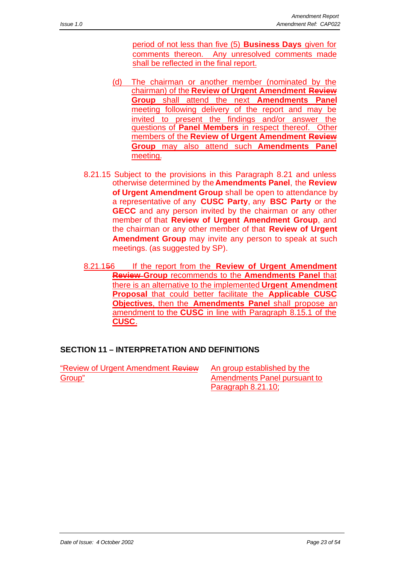period of not less than five (5) **Business Days** given for comments thereon. Any unresolved comments made shall be reflected in the final report.

- (d) The chairman or another member (nominated by the chairman) of the **Review of Urgent Amendment Review Group** shall attend the next **Amendments Panel** meeting following delivery of the report and may be invited to present the findings and/or answer the questions of **Panel Members** in respect thereof. Other members of the **Review of Urgent Amendment Review Group** may also attend such **Amendments Panel** meeting.
- 8.21.15 Subject to the provisions in this Paragraph 8.21 and unless otherwise determined by the **Amendments Panel**, the **Review of Urgent Amendment Group** shall be open to attendance by a representative of any **CUSC Party**, any **BSC Party** or the **GECC** and any person invited by the chairman or any other member of that **Review of Urgent Amendment Group**, and the chairman or any other member of that **Review of Urgent Amendment Group** may invite any person to speak at such meetings. (as suggested by SP).
- 8.21.156 If the report from the **Review of Urgent Amendment Review Group** recommends to the **Amendments Panel** that there is an alternative to the implemented **Urgent Amendment Proposal** that could better facilitate the **Applicable CUSC Objectives**, then the **Amendments Panel** shall propose an amendment to the **CUSC** in line with Paragraph 8.15.1 of the **CUSC**.

# **SECTION 11 – INTERPRETATION AND DEFINITIONS**

"Review of Urgent Amendment Review Group"

An group established by the Amendments Panel pursuant to Paragraph 8.21.10;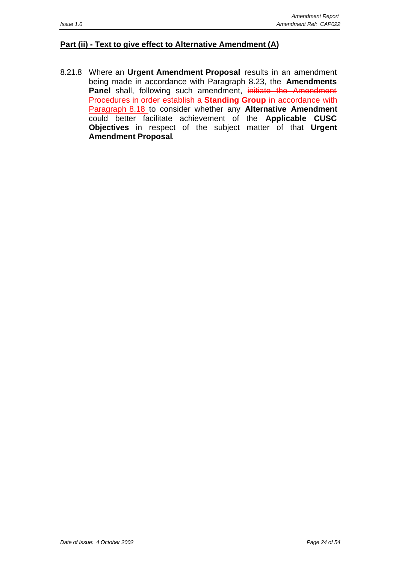#### **Part (ii) - Text to give effect to Alternative Amendment (A)**

8.21.8 Where an **Urgent Amendment Proposal** results in an amendment being made in accordance with Paragraph 8.23, the **Amendments** Panel shall, following such amendment, initiate the Amendment Procedures in order establish a **Standing Group** in accordance with Paragraph 8.18 to consider whether any **Alternative Amendment** could better facilitate achievement of the **Applicable CUSC Objectives** in respect of the subject matter of that **Urgent Amendment Proposal**.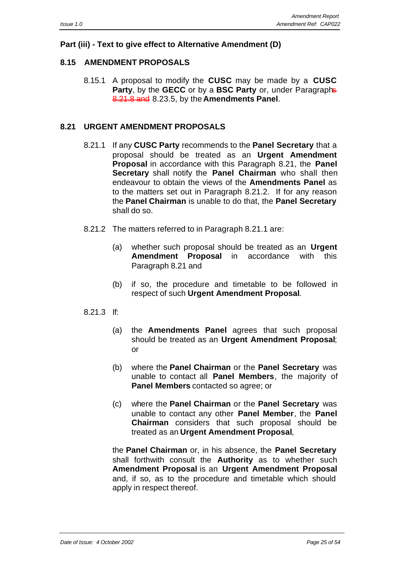# **Part (iii) - Text to give effect to Alternative Amendment (D)**

# **8.15 AMENDMENT PROPOSALS**

8.15.1 A proposal to modify the **CUSC** may be made by a **CUSC Party**, by the **GECC** or by a **BSC Party** or, under Paragraphs 8.21.8 and 8.23.5, by the **Amendments Panel**.

# **8.21 URGENT AMENDMENT PROPOSALS**

- 8.21.1 If any **CUSC Party** recommends to the **Panel Secretary** that a proposal should be treated as an **Urgent Amendment Proposal** in accordance with this Paragraph 8.21, the **Panel Secretary** shall notify the **Panel Chairman** who shall then endeavour to obtain the views of the **Amendments Panel** as to the matters set out in Paragraph 8.21.2. If for any reason the **Panel Chairman** is unable to do that, the **Panel Secretary** shall do so.
- 8.21.2 The matters referred to in Paragraph 8.21.1 are:
	- (a) whether such proposal should be treated as an **Urgent Amendment Proposal** in accordance with this Paragraph 8.21 and
	- (b) if so, the procedure and timetable to be followed in respect of such **Urgent Amendment Proposal**.
- 8.21.3 If:
	- (a) the **Amendments Panel** agrees that such proposal should be treated as an **Urgent Amendment Proposal**; or
	- (b) where the **Panel Chairman** or the **Panel Secretary** was unable to contact all **Panel Members**, the majority of **Panel Members** contacted so agree; or
	- (c) where the **Panel Chairman** or the **Panel Secretary** was unable to contact any other **Panel Member**, the **Panel Chairman** considers that such proposal should be treated as an **Urgent Amendment Proposal**,

the **Panel Chairman** or, in his absence, the **Panel Secretary** shall forthwith consult the **Authority** as to whether such **Amendment Proposal** is an **Urgent Amendment Proposal** and, if so, as to the procedure and timetable which should apply in respect thereof.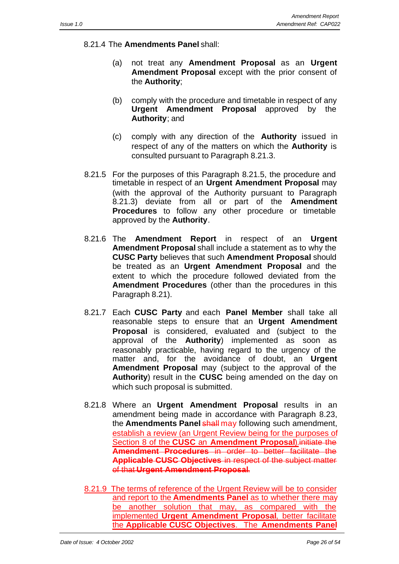- 8.21.4 The **Amendments Panel** shall:
	- (a) not treat any **Amendment Proposal** as an **Urgent Amendment Proposal** except with the prior consent of the **Authority**;
	- (b) comply with the procedure and timetable in respect of any **Urgent Amendment Proposal** approved by the **Authority**; and
	- (c) comply with any direction of the **Authority** issued in respect of any of the matters on which the **Authority** is consulted pursuant to Paragraph 8.21.3.
- 8.21.5 For the purposes of this Paragraph 8.21.5, the procedure and timetable in respect of an **Urgent Amendment Proposal** may (with the approval of the Authority pursuant to Paragraph 8.21.3) deviate from all or part of the **Amendment Procedures** to follow any other procedure or timetable approved by the **Authority**.
- 8.21.6 The **Amendment Report** in respect of an **Urgent Amendment Proposal** shall include a statement as to why the **CUSC Party** believes that such **Amendment Proposal** should be treated as an **Urgent Amendment Proposal** and the extent to which the procedure followed deviated from the **Amendment Procedures** (other than the procedures in this Paragraph 8.21).
- 8.21.7 Each **CUSC Party** and each **Panel Member** shall take all reasonable steps to ensure that an **Urgent Amendment Proposal** is considered, evaluated and (subject to the approval of the **Authority**) implemented as soon as reasonably practicable, having regard to the urgency of the matter and, for the avoidance of doubt, an **Urgent Amendment Proposal** may (subject to the approval of the **Authority**) result in the **CUSC** being amended on the day on which such proposal is submitted.
- 8.21.8 Where an **Urgent Amendment Proposal** results in an amendment being made in accordance with Paragraph 8.23, the **Amendments Panel shall may** following such amendment, establish a review (an Urgent Review being for the purposes of Section 8 of the **CUSC** an **Amendment Proposal**).initiate the **Amendment Procedures** in order to better facilitate the **Applicable CUSC Objectives** in respect of the subject matter of that **Urgent Amendment Proposal**.
- 8.21.9 The terms of reference of the Urgent Review will be to consider and report to the **Amendments Panel** as to whether there may be another solution that may, as compared with the implemented **Urgent Amendment Proposal**, better facilitate the **Applicable CUSC Objectives**. The **Amendments Panel**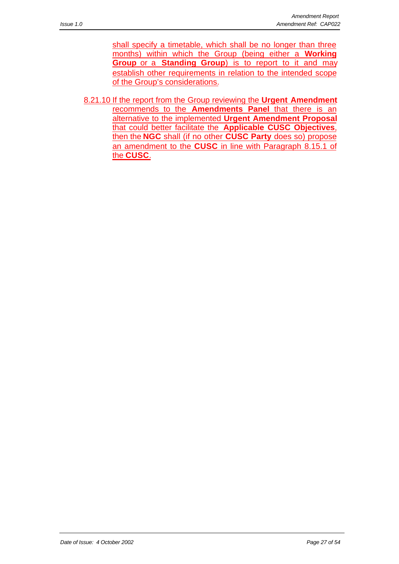shall specify a timetable, which shall be no longer than three months) within which the Group (being either a **Working Group** or a **Standing Group**) is to report to it and may establish other requirements in relation to the intended scope of the Group's considerations.

8.21.10 If the report from the Group reviewing the **Urgent Amendment** recommends to the **Amendments Panel** that there is an alternative to the implemented **Urgent Amendment Proposal** that could better facilitate the **Applicable CUSC Objectives**, then the **NGC** shall (if no other **CUSC Party** does so) propose an amendment to the **CUSC** in line with Paragraph 8.15.1 of the **CUSC**.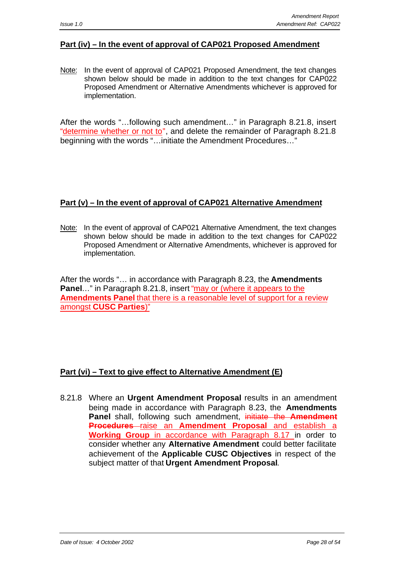# **Part (iv) – In the event of approval of CAP021 Proposed Amendment**

Note: In the event of approval of CAP021 Proposed Amendment, the text changes shown below should be made in addition to the text changes for CAP022 Proposed Amendment or Alternative Amendments whichever is approved for implementation.

After the words "…following such amendment…" in Paragraph 8.21.8, insert "determine whether or not to", and delete the remainder of Paragraph 8.21.8 beginning with the words "…initiate the Amendment Procedures…"

# **Part (v) – In the event of approval of CAP021 Alternative Amendment**

Note: In the event of approval of CAP021 Alternative Amendment, the text changes shown below should be made in addition to the text changes for CAP022 Proposed Amendment or Alternative Amendments, whichever is approved for implementation.

After the words "… in accordance with Paragraph 8.23, the **Amendments Panel**…" in Paragraph 8.21.8, insert "may or (where it appears to the **Amendments Panel** that there is a reasonable level of support for a review amongst **CUSC Parties**)"

# **Part (vi) – Text to give effect to Alternative Amendment (E)**

8.21.8 Where an **Urgent Amendment Proposal** results in an amendment being made in accordance with Paragraph 8.23, the **Amendments Panel** shall, following such amendment, initiate the **Amendment Procedures** raise an **Amendment Proposal** and establish a **Working Group** in accordance with Paragraph 8.17 in order to consider whether any **Alternative Amendment** could better facilitate achievement of the **Applicable CUSC Objectives** in respect of the subject matter of that **Urgent Amendment Proposal**.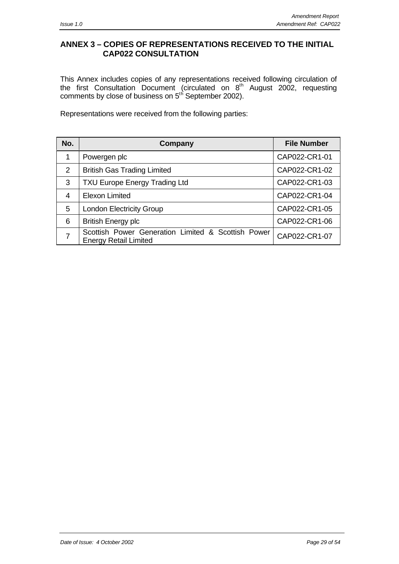# **ANNEX 3 – COPIES OF REPRESENTATIONS RECEIVED TO THE INITIAL CAP022 CONSULTATION**

This Annex includes copies of any representations received following circulation of the first Consultation Document (circulated on 8<sup>th</sup> August 2002, requesting comments by close of business on 5<sup>th</sup> September 2002).

Representations were received from the following parties:

| No.            | Company                                                                            | <b>File Number</b> |
|----------------|------------------------------------------------------------------------------------|--------------------|
| 1              | Powergen plc                                                                       | CAP022-CR1-01      |
| 2              | <b>British Gas Trading Limited</b>                                                 | CAP022-CR1-02      |
| 3              | <b>TXU Europe Energy Trading Ltd</b>                                               | CAP022-CR1-03      |
| 4              | <b>Elexon Limited</b>                                                              | CAP022-CR1-04      |
| 5              | <b>London Electricity Group</b>                                                    | CAP022-CR1-05      |
| 6              | <b>British Energy plc</b>                                                          | CAP022-CR1-06      |
| $\overline{7}$ | Scottish Power Generation Limited & Scottish Power<br><b>Energy Retail Limited</b> | CAP022-CR1-07      |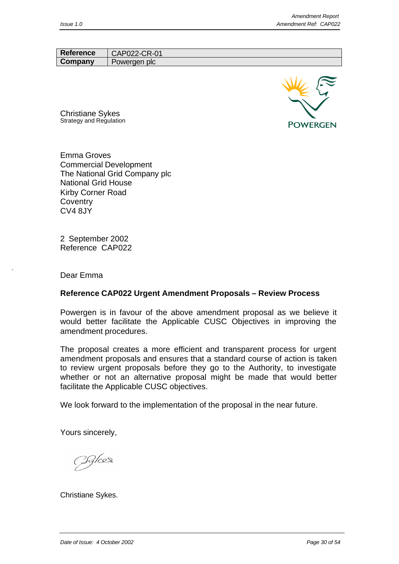Reference | CAP022-CR-01 **Company** Powergen plc



Christiane Sykes Strategy and Regulation

Emma Groves Commercial Development The National Grid Company plc National Grid House Kirby Corner Road **Coventry** CV4 8JY

2 September 2002 Reference CAP022

Dear Emma

#### **Reference CAP022 Urgent Amendment Proposals – Review Process**

Powergen is in favour of the above amendment proposal as we believe it would better facilitate the Applicable CUSC Objectives in improving the amendment procedures.

The proposal creates a more efficient and transparent process for urgent amendment proposals and ensures that a standard course of action is taken to review urgent proposals before they go to the Authority, to investigate whether or not an alternative proposal might be made that would better facilitate the Applicable CUSC objectives.

We look forward to the implementation of the proposal in the near future.

Yours sincerely,

Iglees

Christiane Sykes.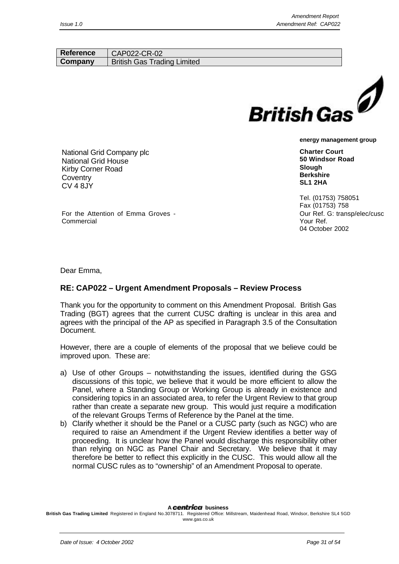| <b>Reference</b> | CAP022-CR-02                          |
|------------------|---------------------------------------|
| Company          | <b>British Gas</b><br>Trading Limited |
|                  |                                       |



**Charter Court 50 Windsor Road Slough Berkshire SL1 2HA**

Tel. (01753) 758051 Fax (01753) 758 Our Ref. G: transp/elec/cusc Your Ref. 04 October 2002

National Grid Company plc National Grid House Kirby Corner Road **Coventry** CV 4 8JY

Commercial

For the Attention of Emma Groves -

Dear Emma,

# **RE: CAP022 – Urgent Amendment Proposals – Review Process**

Thank you for the opportunity to comment on this Amendment Proposal. British Gas Trading (BGT) agrees that the current CUSC drafting is unclear in this area and agrees with the principal of the AP as specified in Paragraph 3.5 of the Consultation Document.

However, there are a couple of elements of the proposal that we believe could be improved upon. These are:

- a) Use of other Groups notwithstanding the issues, identified during the GSG discussions of this topic, we believe that it would be more efficient to allow the Panel, where a Standing Group or Working Group is already in existence and considering topics in an associated area, to refer the Urgent Review to that group rather than create a separate new group. This would just require a modification of the relevant Groups Terms of Reference by the Panel at the time.
- b) Clarify whether it should be the Panel or a CUSC party (such as NGC) who are required to raise an Amendment if the Urgent Review identifies a better way of proceeding. It is unclear how the Panel would discharge this responsibility other than relying on NGC as Panel Chair and Secretary. We believe that it may therefore be better to reflect this explicitly in the CUSC. This would allow all the normal CUSC rules as to "ownership" of an Amendment Proposal to operate.

A **centrica** business

**British Gas Trading Limited** Registered in England No.3078711. Registered Office: Millstream, Maidenhead Road, Windsor, Berkshire SL4 5GD www.gas.co.uk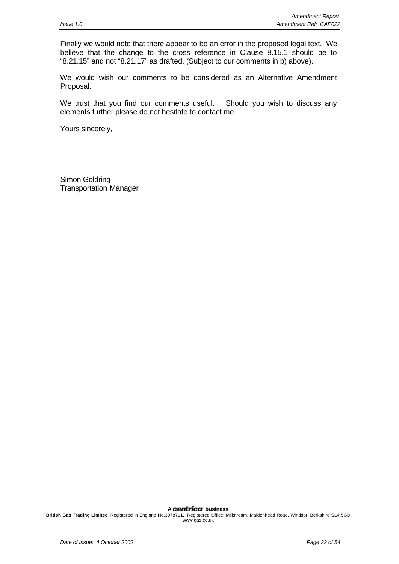Finally we would note that there appear to be an error in the proposed legal text. We believe that the change to the cross reference in Clause 8.15.1 should be to "8.21.15" and not "8.21.17" as drafted. (Subject to our comments in b) above).

We would wish our comments to be considered as an Alternative Amendment Proposal.

We trust that you find our comments useful. Should you wish to discuss any elements further please do not hesitate to contact me.

Yours sincerely,

Simon Goldring Transportation Manager

A **centrica** business

**British Gas Trading Limited** Registered in England No.3078711. Registered Office: Millstream, Maidenhead Road, Windsor, Berkshire SL4 5GD www.gas.co.uk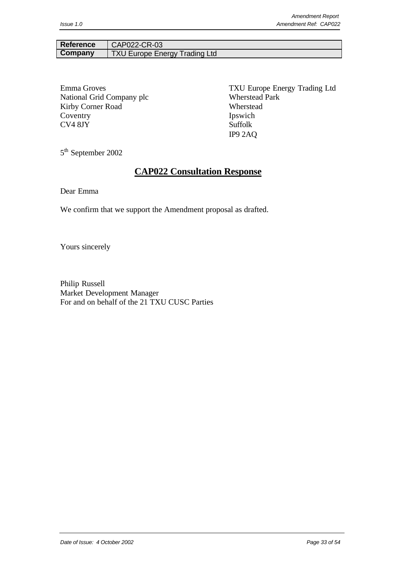#### Reference | CAP022-CR-03 **Company** TXU Europe Energy Trading Ltd

National Grid Company plc Wherstead Park Kirby Corner Road Wherstead Coventry Ipswich CV4 8JY Suffolk

Emma Groves TXU Europe Energy Trading Ltd IP9 2AQ

5<sup>th</sup> September 2002

# **CAP022 Consultation Response**

Dear Emma

We confirm that we support the Amendment proposal as drafted.

Yours sincerely

Philip Russell Market Development Manager For and on behalf of the 21 TXU CUSC Parties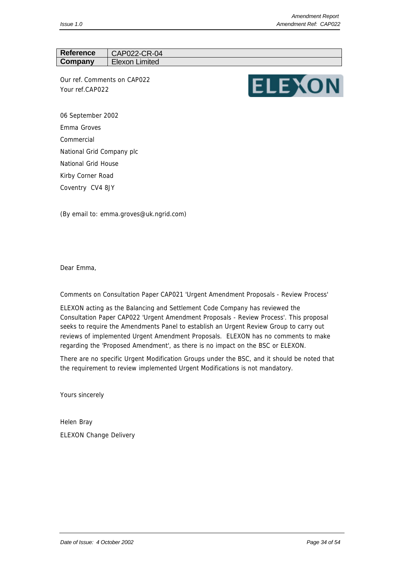# Reference | CAP022-CR-04 **Company** Elexon Limited

*Our ref.* Comments on CAP022 *Your ref.*CAP022



06 September 2002 Emma Groves Commercial National Grid Company plc National Grid House Kirby Corner Road Coventry CV4 8JY

(By email to: emma.groves@uk.ngrid.com)

Dear Emma,

Comments on Consultation Paper CAP021 'Urgent Amendment Proposals - Review Process'

ELEXON acting as the Balancing and Settlement Code Company has reviewed the Consultation Paper CAP022 'Urgent Amendment Proposals - Review Process'. This proposal seeks to require the Amendments Panel to establish an Urgent Review Group to carry out reviews of implemented Urgent Amendment Proposals. ELEXON has no comments to make regarding the 'Proposed Amendment', as there is no impact on the BSC or ELEXON.

There are no specific Urgent Modification Groups under the BSC, and it should be noted that the requirement to review implemented Urgent Modifications is not mandatory.

Yours sincerely

Helen Bray ELEXON Change Delivery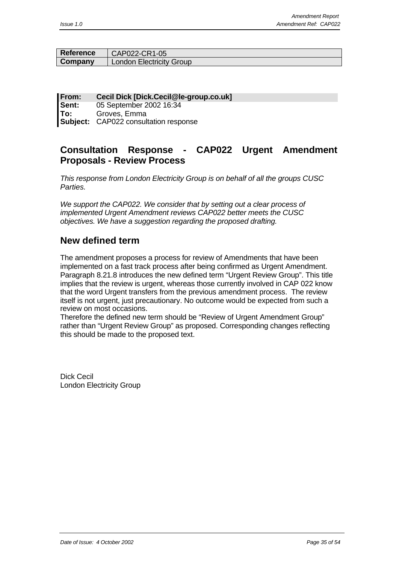| <b>Reference</b> | CAP022-CR1-05                   |
|------------------|---------------------------------|
| Company          | <b>London Electricity Group</b> |

**From: Cecil Dick [Dick.Cecil@le-group.co.uk] Sent:** 05 September 2002 16:34 **To:** Groves, Emma **Subject:** CAP022 consultation response

# **Consultation Response - CAP022 Urgent Amendment Proposals - Review Process**

*This response from London Electricity Group is on behalf of all the groups CUSC Parties.*

*We support the CAP022. We consider that by setting out a clear process of implemented Urgent Amendment reviews CAP022 better meets the CUSC objectives. We have a suggestion regarding the proposed drafting.*

# **New defined term**

The amendment proposes a process for review of Amendments that have been implemented on a fast track process after being confirmed as Urgent Amendment. Paragraph 8.21.8 introduces the new defined term "Urgent Review Group". This title implies that the review is urgent, whereas those currently involved in CAP 022 know that the word Urgent transfers from the previous amendment process. The review itself is not urgent, just precautionary. No outcome would be expected from such a review on most occasions.

Therefore the defined new term should be "Review of Urgent Amendment Group" rather than "Urgent Review Group" as proposed. Corresponding changes reflecting this should be made to the proposed text.

Dick Cecil London Electricity Group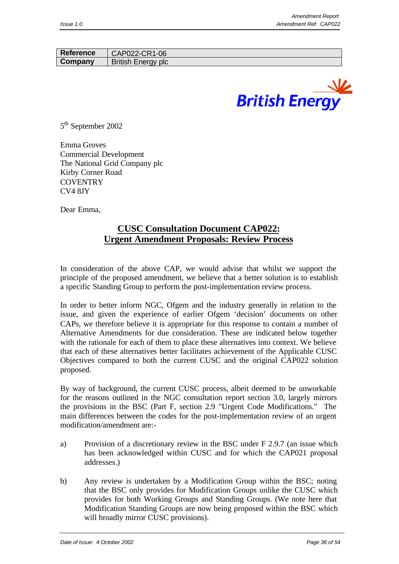| <b>Reference</b> | CAP022-CR1-06             |
|------------------|---------------------------|
| Company          | <b>British Energy plc</b> |



5<sup>th</sup> September 2002

Emma Groves Commercial Development The National Grid Company plc Kirby Corner Road **COVENTRY** CV4 8JY

Dear Emma,

# **CUSC Consultation Document CAP022: Urgent Amendment Proposals: Review Process**

In consideration of the above CAP, we would advise that whilst we support the principle of the proposed amendment, we believe that a better solution is to establish a specific Standing Group to perform the post-implementation review process.

In order to better inform NGC, Ofgem and the industry generally in relation to the issue, and given the experience of earlier Ofgem 'decision' documents on other CAPs, we therefore believe it is appropriate for this response to contain a number of Alternative Amendments for due consideration. These are indicated below together with the rationale for each of them to place these alternatives into context. We believe that each of these alternatives better facilitates achievement of the Applicable CUSC Objectives compared to both the current CUSC and the original CAP022 solution proposed.

By way of background, the current CUSC process, albeit deemed to be unworkable for the reasons outlined in the NGC consultation report section 3.0, largely mirrors the provisions in the BSC (Part F, section 2.9 "Urgent Code Modifications." The main differences between the codes for the post-implementation review of an urgent modification/amendment are:-

- a) Provision of a discretionary review in the BSC under F 2.9.7 (an issue which has been acknowledged within CUSC and for which the CAP021 proposal addresses.)
- b) Any review is undertaken by a Modification Group within the BSC; noting that the BSC only provides for Modification Groups unlike the CUSC which provides for both Working Groups and Standing Groups. (We note here that Modification Standing Groups are now being proposed within the BSC which will broadly mirror CUSC provisions).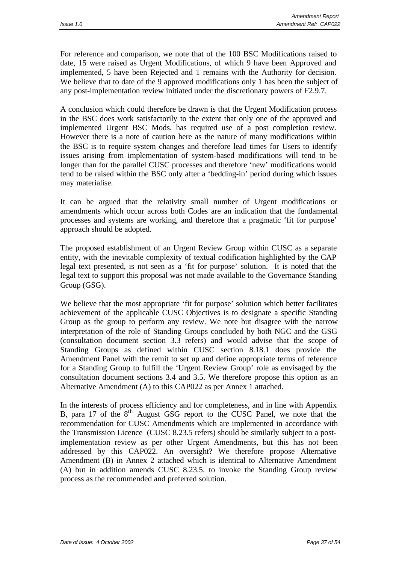For reference and comparison, we note that of the 100 BSC Modifications raised to date, 15 were raised as Urgent Modifications, of which 9 have been Approved and implemented, 5 have been Rejected and 1 remains with the Authority for decision. We believe that to date of the 9 approved modifications only 1 has been the subject of any post-implementation review initiated under the discretionary powers of F2.9.7.

A conclusion which could therefore be drawn is that the Urgent Modification process in the BSC does work satisfactorily to the extent that only one of the approved and implemented Urgent BSC Mods. has required use of a post completion review. However there is a note of caution here as the nature of many modifications within the BSC is to require system changes and therefore lead times for Users to identify issues arising from implementation of system-based modifications will tend to be longer than for the parallel CUSC processes and therefore 'new' modifications would tend to be raised within the BSC only after a 'bedding-in' period during which issues may materialise.

It can be argued that the relativity small number of Urgent modifications or amendments which occur across both Codes are an indication that the fundamental processes and systems are working, and therefore that a pragmatic 'fit for purpose' approach should be adopted.

The proposed establishment of an Urgent Review Group within CUSC as a separate entity, with the inevitable complexity of textual codification highlighted by the CAP legal text presented, is not seen as a 'fit for purpose' solution. It is noted that the legal text to support this proposal was not made available to the Governance Standing Group (GSG).

We believe that the most appropriate 'fit for purpose' solution which better facilitates achievement of the applicable CUSC Objectives is to designate a specific Standing Group as the group to perform any review. We note but disagree with the narrow interpretation of the role of Standing Groups concluded by both NGC and the GSG (consultation document section 3.3 refers) and would advise that the scope of Standing Groups as defined within CUSC section 8.18.1 does provide the Amendment Panel with the remit to set up and define appropriate terms of reference for a Standing Group to fulfill the 'Urgent Review Group' role as envisaged by the consultation document sections 3.4 and 3.5. We therefore propose this option as an Alternative Amendment (A) to this CAP022 as per Annex 1 attached.

In the interests of process efficiency and for completeness, and in line with Appendix B, para 17 of the 8<sup>th</sup> August GSG report to the CUSC Panel, we note that the recommendation for CUSC Amendments which are implemented in accordance with the Transmission Licence (CUSC 8.23.5 refers) should be similarly subject to a postimplementation review as per other Urgent Amendments, but this has not been addressed by this CAP022. An oversight? We therefore propose Alternative Amendment (B) in Annex 2 attached which is identical to Alternative Amendment (A) but in addition amends CUSC 8.23.5. to invoke the Standing Group review process as the recommended and preferred solution.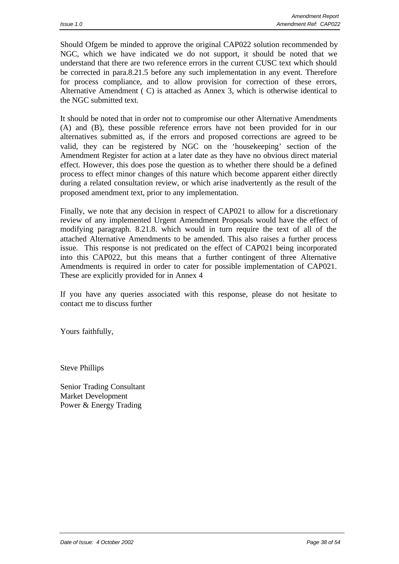Should Ofgem be minded to approve the original CAP022 solution recommended by NGC, which we have indicated we do not support, it should be noted that we understand that there are two reference errors in the current CUSC text which should be corrected in para.8.21.5 before any such implementation in any event. Therefore for process compliance, and to allow provision for correction of these errors, Alternative Amendment ( C) is attached as Annex 3, which is otherwise identical to the NGC submitted text.

It should be noted that in order not to compromise our other Alternative Amendments (A) and (B), these possible reference errors have not been provided for in our alternatives submitted as, if the errors and proposed corrections are agreed to be valid, they can be registered by NGC on the 'housekeeping' section of the Amendment Register for action at a later date as they have no obvious direct material effect. However, this does pose the question as to whether there should be a defined process to effect minor changes of this nature which become apparent either directly during a related consultation review, or which arise inadvertently as the result of the proposed amendment text, prior to any implementation.

Finally, we note that any decision in respect of CAP021 to allow for a discretionary review of any implemented Urgent Amendment Proposals would have the effect of modifying paragraph. 8.21.8. which would in turn require the text of all of the attached Alternative Amendments to be amended. This also raises a further process issue. This response is not predicated on the effect of CAP021 being incorporated into this CAP022, but this means that a further contingent of three Alternative Amendments is required in order to cater for possible implementation of CAP021. These are explicitly provided for in Annex 4

If you have any queries associated with this response, please do not hesitate to contact me to discuss further

Yours faithfully,

Steve Phillips

Senior Trading Consultant Market Development Power & Energy Trading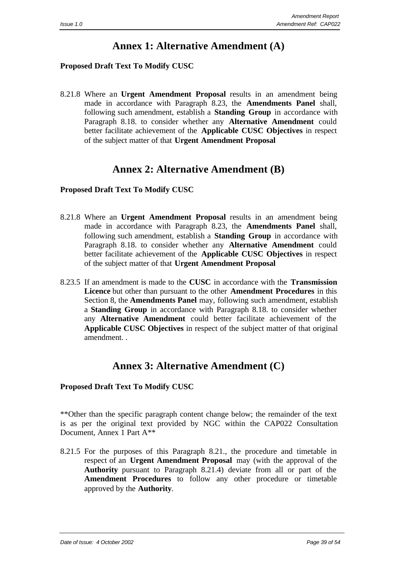# **Annex 1: Alternative Amendment (A)**

# **Proposed Draft Text To Modify CUSC**

8.21.8 Where an **Urgent Amendment Proposal** results in an amendment being made in accordance with Paragraph 8.23, the **Amendments Panel** shall, following such amendment, establish a **Standing Group** in accordance with Paragraph 8.18. to consider whether any **Alternative Amendment** could better facilitate achievement of the **Applicable CUSC Objectives** in respect of the subject matter of that **Urgent Amendment Proposal**

# **Annex 2: Alternative Amendment (B)**

# **Proposed Draft Text To Modify CUSC**

- 8.21.8 Where an **Urgent Amendment Proposal** results in an amendment being made in accordance with Paragraph 8.23, the **Amendments Panel** shall, following such amendment, establish a **Standing Group** in accordance with Paragraph 8.18. to consider whether any **Alternative Amendment** could better facilitate achievement of the **Applicable CUSC Objectives** in respect of the subject matter of that **Urgent Amendment Proposal**
- 8.23.5 If an amendment is made to the **CUSC** in accordance with the **Transmission Licence** but other than pursuant to the other **Amendment Procedures** in this Section 8, the **Amendments Panel** may, following such amendment, establish a **Standing Group** in accordance with Paragraph 8.18. to consider whether any **Alternative Amendment** could better facilitate achievement of the **Applicable CUSC Objectives** in respect of the subject matter of that original amendment. .

# **Annex 3: Alternative Amendment (C)**

# **Proposed Draft Text To Modify CUSC**

\*\*Other than the specific paragraph content change below; the remainder of the text is as per the original text provided by NGC within the CAP022 Consultation Document, Annex 1 Part A\*\*

8.21.5 For the purposes of this Paragraph 8.21., the procedure and timetable in respect of an **Urgent Amendment Proposal** may (with the approval of the **Authority** pursuant to Paragraph 8.21.4) deviate from all or part of the **Amendment Procedures** to follow any other procedure or timetable approved by the **Authority**.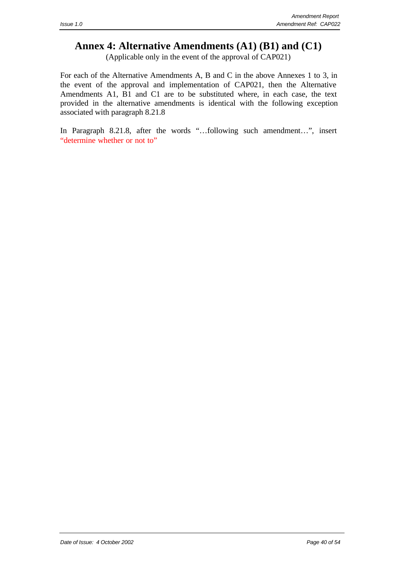# **Annex 4: Alternative Amendments (A1) (B1) and (C1)**

(Applicable only in the event of the approval of CAP021)

For each of the Alternative Amendments A, B and C in the above Annexes 1 to 3, in the event of the approval and implementation of CAP021, then the Alternative Amendments A1, B1 and C1 are to be substituted where, in each case, the text provided in the alternative amendments is identical with the following exception associated with paragraph 8.21.8

In Paragraph 8.21.8, after the words "…following such amendment…", insert "determine whether or not to"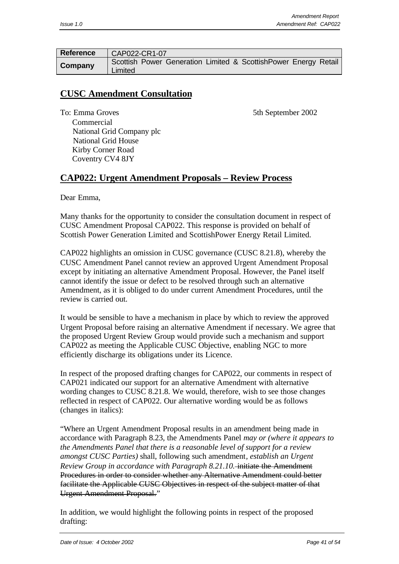| <b>Reference</b> | CAP022-CR1-07                                                              |
|------------------|----------------------------------------------------------------------------|
| Company          | Scottish Power Generation Limited & ScottishPower Energy Retail<br>Limited |

# **CUSC Amendment Consultation**

To: Emma Groves 5th September 2002

 Commercial National Grid Company plc National Grid House Kirby Corner Road Coventry CV4 8JY

# **CAP022: Urgent Amendment Proposals – Review Process**

Dear Emma,

Many thanks for the opportunity to consider the consultation document in respect of CUSC Amendment Proposal CAP022. This response is provided on behalf of Scottish Power Generation Limited and ScottishPower Energy Retail Limited.

CAP022 highlights an omission in CUSC governance (CUSC 8.21.8), whereby the CUSC Amendment Panel cannot review an approved Urgent Amendment Proposal except by initiating an alternative Amendment Proposal. However, the Panel itself cannot identify the issue or defect to be resolved through such an alternative Amendment, as it is obliged to do under current Amendment Procedures, until the review is carried out.

It would be sensible to have a mechanism in place by which to review the approved Urgent Proposal before raising an alternative Amendment if necessary. We agree that the proposed Urgent Review Group would provide such a mechanism and support CAP022 as meeting the Applicable CUSC Objective, enabling NGC to more efficiently discharge its obligations under its Licence.

In respect of the proposed drafting changes for CAP022, our comments in respect of CAP021 indicated our support for an alternative Amendment with alternative wording changes to CUSC 8.21.8. We would, therefore, wish to see those changes reflected in respect of CAP022. Our alternative wording would be as follows (changes in italics):

"Where an Urgent Amendment Proposal results in an amendment being made in accordance with Paragraph 8.23, the Amendments Panel *may or (where it appears to the Amendments Panel that there is a reasonable level of support for a review amongst CUSC Parties)* shall, following such amendment*, establish an Urgent Review Group in accordance with Paragraph 8.21.10.* initiate the Amendment Procedures in order to consider whether any Alternative Amendment could better facilitate the Applicable CUSC Objectives in respect of the subject matter of that Urgent Amendment Proposal."

In addition, we would highlight the following points in respect of the proposed drafting: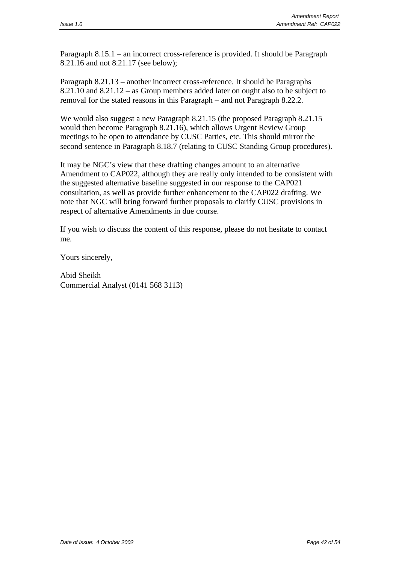Paragraph 8.15.1 – an incorrect cross-reference is provided. It should be Paragraph 8.21.16 and not 8.21.17 (see below);

Paragraph 8.21.13 – another incorrect cross-reference. It should be Paragraphs 8.21.10 and 8.21.12 – as Group members added later on ought also to be subject to removal for the stated reasons in this Paragraph – and not Paragraph 8.22.2.

We would also suggest a new Paragraph 8.21.15 (the proposed Paragraph 8.21.15 would then become Paragraph 8.21.16), which allows Urgent Review Group meetings to be open to attendance by CUSC Parties, etc. This should mirror the second sentence in Paragraph 8.18.7 (relating to CUSC Standing Group procedures).

It may be NGC's view that these drafting changes amount to an alternative Amendment to CAP022, although they are really only intended to be consistent with the suggested alternative baseline suggested in our response to the CAP021 consultation, as well as provide further enhancement to the CAP022 drafting. We note that NGC will bring forward further proposals to clarify CUSC provisions in respect of alternative Amendments in due course.

If you wish to discuss the content of this response, please do not hesitate to contact me.

Yours sincerely,

Abid Sheikh Commercial Analyst (0141 568 3113)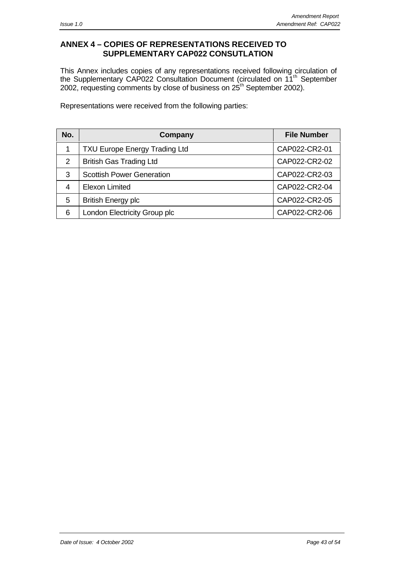# **ANNEX 4 – COPIES OF REPRESENTATIONS RECEIVED TO SUPPLEMENTARY CAP022 CONSUTLATION**

This Annex includes copies of any representations received following circulation of the Supplementary CAP022 Consultation Document (circulated on 11<sup>th</sup> September 2002, requesting comments by close of business on  $25<sup>th</sup>$  September 2002).

Representations were received from the following parties:

| No. | Company                              | <b>File Number</b> |
|-----|--------------------------------------|--------------------|
|     | <b>TXU Europe Energy Trading Ltd</b> | CAP022-CR2-01      |
| 2   | <b>British Gas Trading Ltd</b>       | CAP022-CR2-02      |
| 3   | <b>Scottish Power Generation</b>     | CAP022-CR2-03      |
| 4   | <b>Elexon Limited</b>                | CAP022-CR2-04      |
| 5   | <b>British Energy plc</b>            | CAP022-CR2-05      |
| 6   | London Electricity Group plc         | CAP022-CR2-06      |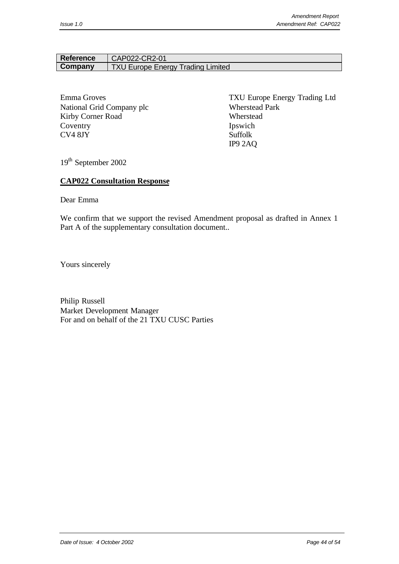# Reference | CAP022-CR2-01 **Company** TXU Europe Energy Trading Limited

National Grid Company plc Wherstead Park Kirby Corner Road Wherstead Coventry Ipswich CV4 8JY Suffolk

Emma Groves TXU Europe Energy Trading Ltd IP9 2AQ

19th September 2002

#### **CAP022 Consultation Response**

Dear Emma

We confirm that we support the revised Amendment proposal as drafted in Annex 1 Part A of the supplementary consultation document..

Yours sincerely

Philip Russell Market Development Manager For and on behalf of the 21 TXU CUSC Parties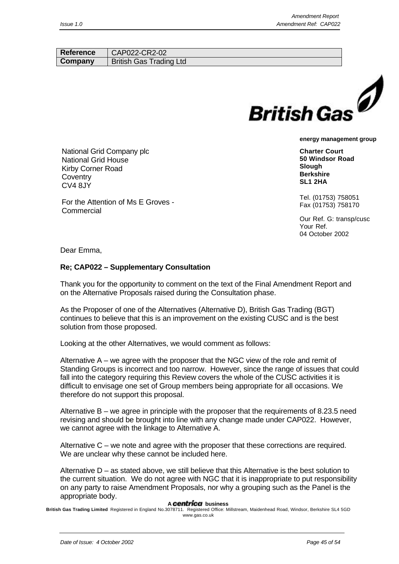| Reference | CAP022-CR2-02                  |  |
|-----------|--------------------------------|--|
| Company   | <b>British Gas Trading Ltd</b> |  |
|           |                                |  |
|           |                                |  |



**Charter Court 50 Windsor Road Slough Berkshire SL1 2HA**

Tel. (01753) 758051 Fax (01753) 758170

Our Ref. G: transp/cusc Your Ref. 04 October 2002

Dear Emma,

**Commercial** 

**Coventry** CV4 8JY

National Grid Company plc National Grid House Kirby Corner Road

For the Attention of Ms E Groves -

#### **Re; CAP022 – Supplementary Consultation**

Thank you for the opportunity to comment on the text of the Final Amendment Report and on the Alternative Proposals raised during the Consultation phase.

As the Proposer of one of the Alternatives (Alternative D), British Gas Trading (BGT) continues to believe that this is an improvement on the existing CUSC and is the best solution from those proposed.

Looking at the other Alternatives, we would comment as follows:

Alternative A – we agree with the proposer that the NGC view of the role and remit of Standing Groups is incorrect and too narrow. However, since the range of issues that could fall into the category requiring this Review covers the whole of the CUSC activities it is difficult to envisage one set of Group members being appropriate for all occasions. We therefore do not support this proposal.

Alternative B – we agree in principle with the proposer that the requirements of 8.23.5 need revising and should be brought into line with any change made under CAP022. However, we cannot agree with the linkage to Alternative A.

Alternative C – we note and agree with the proposer that these corrections are required. We are unclear why these cannot be included here.

Alternative  $D - as$  stated above, we still believe that this Alternative is the best solution to the current situation. We do not agree with NGC that it is inappropriate to put responsibility on any party to raise Amendment Proposals, nor why a grouping such as the Panel is the appropriate body.

#### A **centrica** business

**British Gas Trading Limited** Registered in England No.3078711. Registered Office: Millstream, Maidenhead Road, Windsor, Berkshire SL4 5GD www.gas.co.uk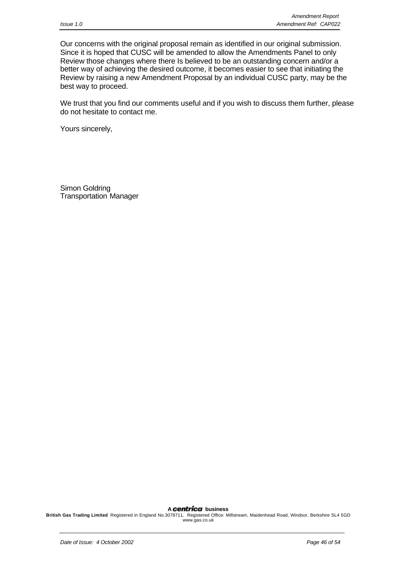Our concerns with the original proposal remain as identified in our original submission. Since it is hoped that CUSC will be amended to allow the Amendments Panel to only Review those changes where there Is believed to be an outstanding concern and/or a better way of achieving the desired outcome, it becomes easier to see that initiating the Review by raising a new Amendment Proposal by an individual CUSC party, may be the best way to proceed.

We trust that you find our comments useful and if you wish to discuss them further, please do not hesitate to contact me.

Yours sincerely,

Simon Goldring Transportation Manager

A **centrica** business

**British Gas Trading Limited** Registered in England No.3078711. Registered Office: Millstream, Maidenhead Road, Windsor, Berkshire SL4 5GD www.gas.co.uk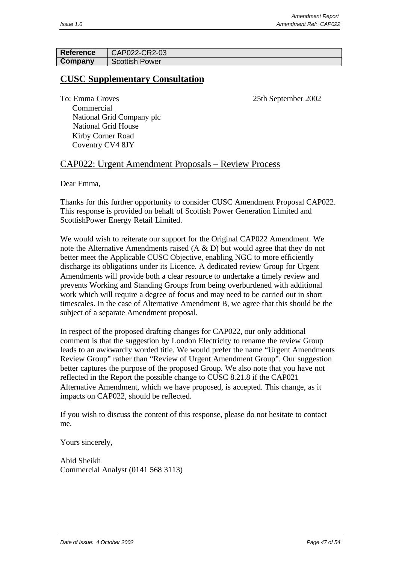| <b>Reference</b> | CAP022-CR2-03         |
|------------------|-----------------------|
| Company          | <b>Scottish Power</b> |

# **CUSC Supplementary Consultation**

To: Emma Groves 25th September 2002

 Commercial National Grid Company plc National Grid House Kirby Corner Road Coventry CV4 8JY

# CAP022: Urgent Amendment Proposals – Review Process

Dear Emma,

Thanks for this further opportunity to consider CUSC Amendment Proposal CAP022. This response is provided on behalf of Scottish Power Generation Limited and ScottishPower Energy Retail Limited.

We would wish to reiterate our support for the Original CAP022 Amendment. We note the Alternative Amendments raised (A & D) but would agree that they do not better meet the Applicable CUSC Objective, enabling NGC to more efficiently discharge its obligations under its Licence. A dedicated review Group for Urgent Amendments will provide both a clear resource to undertake a timely review and prevents Working and Standing Groups from being overburdened with additional work which will require a degree of focus and may need to be carried out in short timescales. In the case of Alternative Amendment B, we agree that this should be the subject of a separate Amendment proposal.

In respect of the proposed drafting changes for CAP022, our only additional comment is that the suggestion by London Electricity to rename the review Group leads to an awkwardly worded title. We would prefer the name "Urgent Amendments Review Group" rather than "Review of Urgent Amendment Group". Our suggestion better captures the purpose of the proposed Group. We also note that you have not reflected in the Report the possible change to CUSC 8.21.8 if the CAP021 Alternative Amendment, which we have proposed, is accepted. This change, as it impacts on CAP022, should be reflected.

If you wish to discuss the content of this response, please do not hesitate to contact me.

Yours sincerely,

Abid Sheikh Commercial Analyst (0141 568 3113)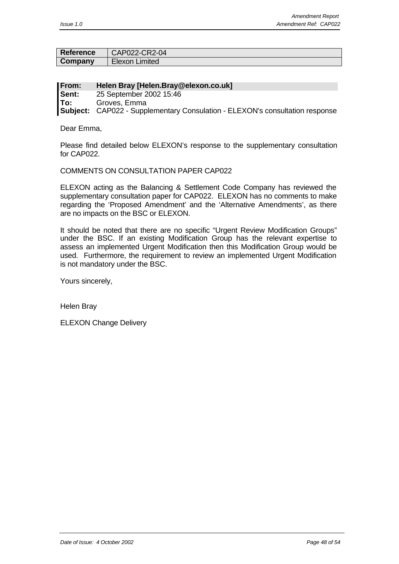| <b>Reference</b> | CAP022-CR2-04    |
|------------------|------------------|
| Company          | ∖ Elexon Limited |

| <b>From:</b> | Helen Bray [Helen.Bray@elexon.co.uk]                                                |
|--------------|-------------------------------------------------------------------------------------|
| Sent:        | 25 September 2002 15:46                                                             |
| <b>To:</b>   | Groves, Emma                                                                        |
|              | <b>Subject:</b> CAP022 - Supplementary Consulation - ELEXON's consultation response |

Dear Emma,

Please find detailed below ELEXON's response to the supplementary consultation for CAP022.

#### COMMENTS ON CONSULTATION PAPER CAP022

ELEXON acting as the Balancing & Settlement Code Company has reviewed the supplementary consultation paper for CAP022. ELEXON has no comments to make regarding the 'Proposed Amendment' and the 'Alternative Amendments', as there are no impacts on the BSC or ELEXON.

It should be noted that there are no specific "Urgent Review Modification Groups" under the BSC. If an existing Modification Group has the relevant expertise to assess an implemented Urgent Modification then this Modification Group would be used. Furthermore, the requirement to review an implemented Urgent Modification is not mandatory under the BSC.

Yours sincerely,

Helen Bray

ELEXON Change Delivery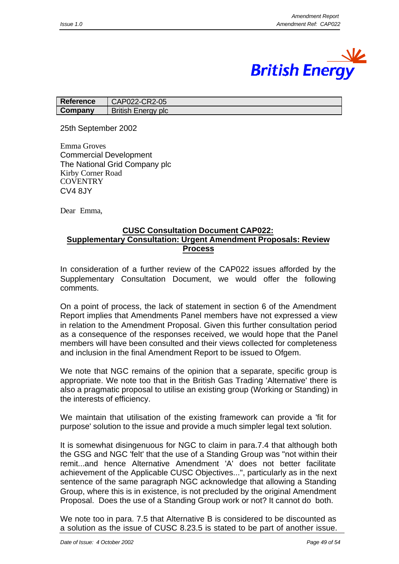

| Reference | CAP022-CR2-05             |
|-----------|---------------------------|
| Company   | <b>British Energy plc</b> |

25th September 2002

Emma Groves Commercial Development The National Grid Company plc Kirby Corner Road **COVENTRY** CV4 8JY

Dear Emma,

#### **CUSC Consultation Document CAP022: Supplementary Consultation: Urgent Amendment Proposals: Review Process**

In consideration of a further review of the CAP022 issues afforded by the Supplementary Consultation Document, we would offer the following comments.

On a point of process, the lack of statement in section 6 of the Amendment Report implies that Amendments Panel members have not expressed a view in relation to the Amendment Proposal. Given this further consultation period as a consequence of the responses received, we would hope that the Panel members will have been consulted and their views collected for completeness and inclusion in the final Amendment Report to be issued to Ofgem.

We note that NGC remains of the opinion that a separate, specific group is appropriate. We note too that in the British Gas Trading 'Alternative' there is also a pragmatic proposal to utilise an existing group (Working or Standing) in the interests of efficiency.

We maintain that utilisation of the existing framework can provide a 'fit for purpose' solution to the issue and provide a much simpler legal text solution.

It is somewhat disingenuous for NGC to claim in para.7.4 that although both the GSG and NGC 'felt' that the use of a Standing Group was "not within their remit...and hence Alternative Amendment 'A' does not better facilitate achievement of the Applicable CUSC Objectives...", particularly as in the next sentence of the same paragraph NGC acknowledge that allowing a Standing Group, where this is in existence, is not precluded by the original Amendment Proposal. Does the use of a Standing Group work or not? It cannot do both.

We note too in para. 7.5 that Alternative B is considered to be discounted as a solution as the issue of CUSC 8.23.5 is stated to be part of another issue.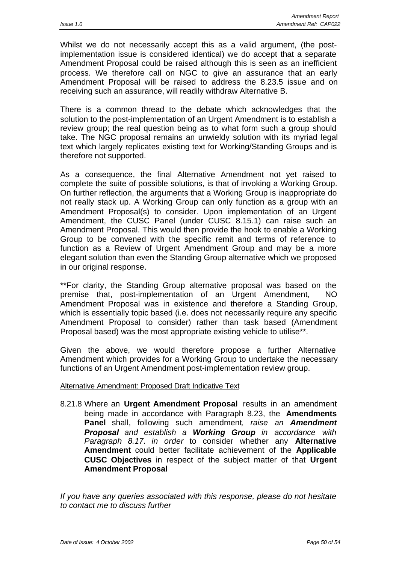Whilst we do not necessarily accept this as a valid argument, (the postimplementation issue is considered identical) we do accept that a separate Amendment Proposal could be raised although this is seen as an inefficient process. We therefore call on NGC to give an assurance that an early Amendment Proposal will be raised to address the 8.23.5 issue and on receiving such an assurance, will readily withdraw Alternative B.

There is a common thread to the debate which acknowledges that the solution to the post-implementation of an Urgent Amendment is to establish a review group; the real question being as to what form such a group should take. The NGC proposal remains an unwieldy solution with its myriad legal text which largely replicates existing text for Working/Standing Groups and is therefore not supported.

As a consequence, the final Alternative Amendment not yet raised to complete the suite of possible solutions, is that of invoking a Working Group. On further reflection, the arguments that a Working Group is inappropriate do not really stack up. A Working Group can only function as a group with an Amendment Proposal(s) to consider. Upon implementation of an Urgent Amendment, the CUSC Panel (under CUSC 8.15.1) can raise such an Amendment Proposal. This would then provide the hook to enable a Working Group to be convened with the specific remit and terms of reference to function as a Review of Urgent Amendment Group and may be a more elegant solution than even the Standing Group alternative which we proposed in our original response.

\*\*For clarity, the Standing Group alternative proposal was based on the premise that, post-implementation of an Urgent Amendment, NO Amendment Proposal was in existence and therefore a Standing Group, which is essentially topic based (i.e. does not necessarily require any specific Amendment Proposal to consider) rather than task based (Amendment Proposal based) was the most appropriate existing vehicle to utilise\*\*.

Given the above, we would therefore propose a further Alternative Amendment which provides for a Working Group to undertake the necessary functions of an Urgent Amendment post-implementation review group.

#### Alternative Amendment: Proposed Draft Indicative Text

8.21.8 Where an **Urgent Amendment Proposal** results in an amendment being made in accordance with Paragraph 8.23, the **Amendments Panel** shall, following such amendment*, raise an Amendment Proposal and establish a Working Group in accordance with Paragraph 8.17*. *in order* to consider whether any **Alternative Amendment** could better facilitate achievement of the **Applicable CUSC Objectives** in respect of the subject matter of that **Urgent Amendment Proposal**

*If you have any queries associated with this response, please do not hesitate to contact me to discuss further*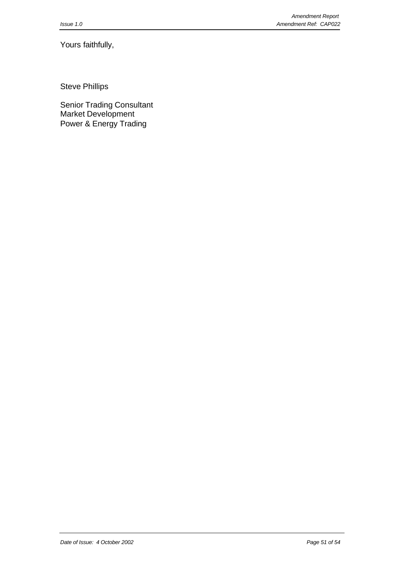Yours faithfully,

Steve Phillips

Senior Trading Consultant Market Development Power & Energy Trading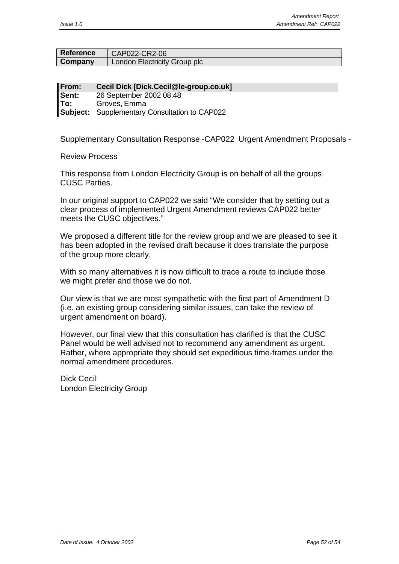| <b>Reference</b> | CAP022-CR2-06                |
|------------------|------------------------------|
| Company          | London Electricity Group plc |

**From: Cecil Dick [Dick.Cecil@le-group.co.uk] Sent:** 26 September 2002 08:48 **To:** Groves, Emma **Subject:** Supplementary Consultation to CAP022

Supplementary Consultation Response -CAP022 Urgent Amendment Proposals -

Review Process

This response from London Electricity Group is on behalf of all the groups CUSC Parties.

In our original support to CAP022 we said "We consider that by setting out a clear process of implemented Urgent Amendment reviews CAP022 better meets the CUSC objectives."

We proposed a different title for the review group and we are pleased to see it has been adopted in the revised draft because it does translate the purpose of the group more clearly.

With so many alternatives it is now difficult to trace a route to include those we might prefer and those we do not.

Our view is that we are most sympathetic with the first part of Amendment D (i.e. an existing group considering similar issues, can take the review of urgent amendment on board).

However, our final view that this consultation has clarified is that the CUSC Panel would be well advised not to recommend any amendment as urgent. Rather, where appropriate they should set expeditious time-frames under the normal amendment procedures.

Dick Cecil London Electricity Group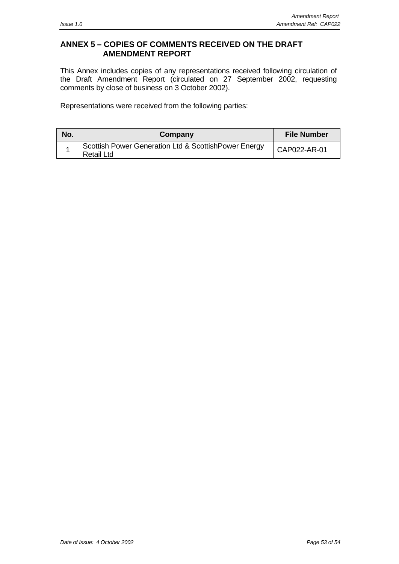# **ANNEX 5 – COPIES OF COMMENTS RECEIVED ON THE DRAFT AMENDMENT REPORT**

This Annex includes copies of any representations received following circulation of the Draft Amendment Report (circulated on 27 September 2002, requesting comments by close of business on 3 October 2002).

Representations were received from the following parties:

| No. | Company                                                            | <b>File Number</b> |
|-----|--------------------------------------------------------------------|--------------------|
|     | Scottish Power Generation Ltd & ScottishPower Energy<br>Retail Ltd | CAP022-AR-01       |